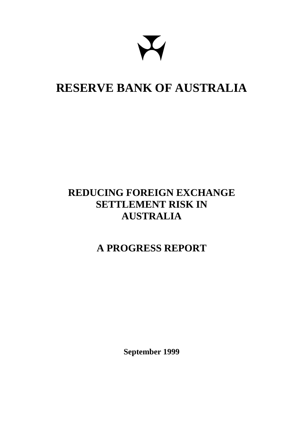# **RESERVE BANK OF AUSTRALIA**

# **REDUCING FOREIGN EXCHANGE SETTLEMENT RISK IN AUSTRALIA**

# **A PROGRESS REPORT**

**September 1999**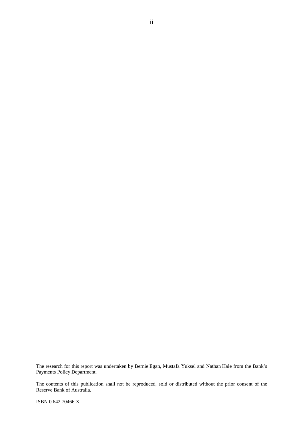The research for this report was undertaken by Bernie Egan, Mustafa Yuksel and Nathan Hale from the Bank's Payments Policy Department.

The contents of this publication shall not be reproduced, sold or distributed without the prior consent of the Reserve Bank of Australia.

ISBN 0 642 70466 X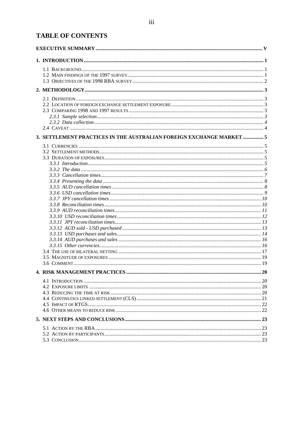# **TABLE OF CONTENTS**

| 3. SETTLEMENT PRACTICES IN THE AUSTRALIAN FOREIGN EXCHANGE MARKET  5 |  |
|----------------------------------------------------------------------|--|
|                                                                      |  |
|                                                                      |  |
|                                                                      |  |
|                                                                      |  |
|                                                                      |  |
|                                                                      |  |
|                                                                      |  |
|                                                                      |  |
|                                                                      |  |
|                                                                      |  |
|                                                                      |  |
|                                                                      |  |
|                                                                      |  |
|                                                                      |  |
|                                                                      |  |
|                                                                      |  |
|                                                                      |  |
|                                                                      |  |
|                                                                      |  |
|                                                                      |  |
|                                                                      |  |
|                                                                      |  |
|                                                                      |  |
|                                                                      |  |
|                                                                      |  |
|                                                                      |  |
|                                                                      |  |
|                                                                      |  |
|                                                                      |  |
|                                                                      |  |
|                                                                      |  |
|                                                                      |  |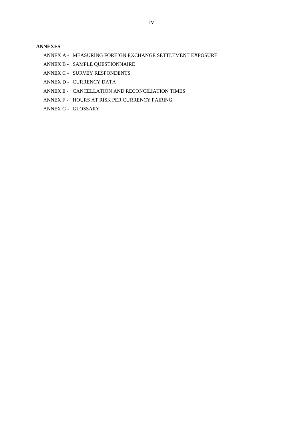#### **[ANNEXES](#page-29-0)**

- ANNEX A MEASURING FOREIGN EXCHANGE SETTLEMENT EXPOSURE
- ANNEX B SAMPLE QUESTIONNAIRE
- ANNEX C SURVEY RESPONDENTS
- ANNEX D CURRENCY DATA
- ANNEX E CANCELLATION AND RECONCILIATION TIMES
- ANNEX F HOURS AT RISK PER CURRENCY PAIRING
- ANNEX G GLOSSARY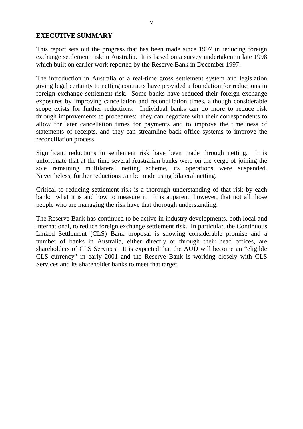#### <span id="page-4-0"></span>**EXECUTIVE SUMMARY**

This report sets out the progress that has been made since 1997 in reducing foreign exchange settlement risk in Australia. It is based on a survey undertaken in late 1998 which built on earlier work reported by the Reserve Bank in December 1997.

The introduction in Australia of a real-time gross settlement system and legislation giving legal certainty to netting contracts have provided a foundation for reductions in foreign exchange settlement risk. Some banks have reduced their foreign exchange exposures by improving cancellation and reconciliation times, although considerable scope exists for further reductions. Individual banks can do more to reduce risk through improvements to procedures: they can negotiate with their correspondents to allow for later cancellation times for payments and to improve the timeliness of statements of receipts, and they can streamline back office systems to improve the reconciliation process.

Significant reductions in settlement risk have been made through netting. It is unfortunate that at the time several Australian banks were on the verge of joining the sole remaining multilateral netting scheme, its operations were suspended. Nevertheless, further reductions can be made using bilateral netting.

Critical to reducing settlement risk is a thorough understanding of that risk by each bank; what it is and how to measure it. It is apparent, however, that not all those people who are managing the risk have that thorough understanding.

The Reserve Bank has continued to be active in industry developments, both local and international, to reduce foreign exchange settlement risk. In particular, the Continuous Linked Settlement (CLS) Bank proposal is showing considerable promise and a number of banks in Australia, either directly or through their head offices, are shareholders of CLS Services. It is expected that the AUD will become an "eligible CLS currency" in early 2001 and the Reserve Bank is working closely with CLS Services and its shareholder banks to meet that target.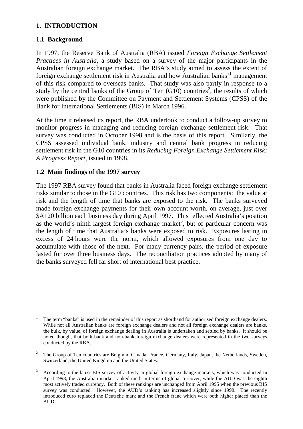#### <span id="page-6-0"></span>**1. INTRODUCTION**

#### **1.1 Background**

 $\overline{a}$ 

In 1997, the Reserve Bank of Australia (RBA) issued *Foreign Exchange Settlement Practices in Australia*, a study based on a survey of the major participants in the Australian foreign exchange market. The RBA's study aimed to assess the extent of foreign exchange settlement risk in Australia and how Australian banks'<sup>1</sup> management of this risk compared to overseas banks. That study was also partly in response to a study by the central banks of the Group of Ten  $(G10)$  countries<sup>2</sup>, the results of which were published by the Committee on Payment and Settlement Systems (CPSS) of the Bank for International Settlements (BIS) in March 1996.

At the time it released its report, the RBA undertook to conduct a follow-up survey to monitor progress in managing and reducing foreign exchange settlement risk. That survey was conducted in October 1998 and is the basis of this report. Similarly, the CPSS assessed individual bank, industry and central bank progress in reducing settlement risk in the G10 countries in its *Reducing Foreign Exchange Settlement Risk: A Progress Report*, issued in 1998.

#### **1.2 Main findings of the 1997 survey**

The 1997 RBA survey found that banks in Australia faced foreign exchange settlement risks similar to those in the G10 countries. This risk has two components: the value at risk and the length of time that banks are exposed to the risk. The banks surveyed made foreign exchange payments for their own account worth, on average, just over \$A120 billion each business day during April 1997. This reflected Australia's position as the world's ninth largest foreign exchange market<sup>3</sup>, but of particular concern was the length of time that Australia's banks were exposed to risk. Exposures lasting in excess of 24 hours were the norm, which allowed exposures from one day to accumulate with those of the next. For many currency pairs, the period of exposure lasted for over three business days. The reconciliation practices adopted by many of the banks surveyed fell far short of international best practice.

<sup>1</sup> The term "banks" is used in the remainder of this report as shorthand for authorised foreign exchange dealers. While not all Australian banks are foreign exchange dealers and not all foreign exchange dealers are banks, the bulk, by value, of foreign exchange dealing in Australia is undertaken and settled by banks. It should be noted though, that both bank and non-bank foreign exchange dealers were represented in the two surveys conducted by the RBA.

<sup>2</sup> The Group of Ten countries are Belgium, Canada, France, Germany, Italy, Japan, the Netherlands, Sweden, Switzerland, the United Kingdom and the United States.

<sup>3</sup> According to the latest BIS survey of activity in global foreign exchange markets, which was conducted in April 1998, the Australian market ranked ninth in terms of global turnover, while the AUD was the eighth most actively traded currency. Both of these rankings are unchanged from April 1995 when the previous BIS survey was conducted. However, the AUD's ranking has increased slightly since 1998. The recently introduced euro replaced the Deutsche mark and the French franc which were both higher placed than the AUD.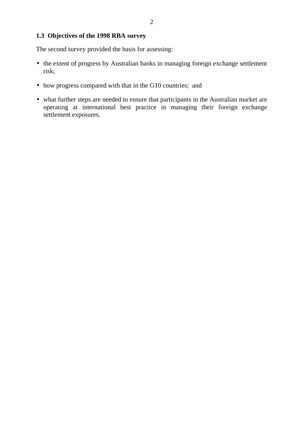#### **1.3 Objectives of the 1998 RBA survey**

The second survey provided the basis for assessing:

- the extent of progress by Australian banks in managing foreign exchange settlement risk;
- how progress compared with that in the G10 countries; and
- what further steps are needed to ensure that participants in the Australian market are operating at international best practice in managing their foreign exchange settlement exposures.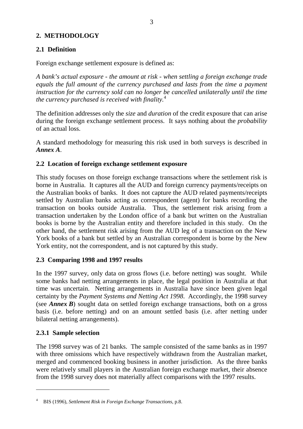#### <span id="page-8-0"></span>**2. METHODOLOGY**

## **2.1 Definition**

Foreign exchange settlement exposure is defined as:

*A bank's actual exposure - the amount at risk - when settling a foreign exchange trade equals the full amount of the currency purchased and lasts from the time a payment instruction for the currency sold can no longer be cancelled unilaterally until the time the currency purchased is received with finality.*<sup>4</sup>

The definition addresses only the *size* and *duration* of the credit exposure that can arise during the foreign exchange settlement process. It says nothing about the *probability* of an actual loss.

A standard methodology for measuring this risk used in both surveys is described in *Annex A*.

#### **2.2 Location of foreign exchange settlement exposure**

This study focuses on those foreign exchange transactions where the settlement risk is borne in Australia. It captures all the AUD and foreign currency payments/receipts on the Australian books of banks. It does not capture the AUD related payments/receipts settled by Australian banks acting as correspondent (agent) for banks recording the transaction on books outside Australia. Thus, the settlement risk arising from a transaction undertaken by the London office of a bank but written on the Australian books is borne by the Australian entity and therefore included in this study. On the other hand, the settlement risk arising from the AUD leg of a transaction on the New York books of a bank but settled by an Australian correspondent is borne by the New York entity, not the correspondent, and is not captured by this study.

#### **2.3 Comparing 1998 and 1997 results**

In the 1997 survey, only data on gross flows (i.e. before netting) was sought. While some banks had netting arrangements in place, the legal position in Australia at that time was uncertain. Netting arrangements in Australia have since been given legal certainty by the *Payment Systems and Netting Act 1998*. Accordingly, the 1998 survey (see *Annex B*) sought data on settled foreign exchange transactions, both on a gross basis (i.e. before netting) and on an amount settled basis (i.e. after netting under bilateral netting arrangements).

#### **2.3.1 Sample selection**

The 1998 survey was of 21 banks. The sample consisted of the same banks as in 1997 with three omissions which have respectively withdrawn from the Australian market, merged and commenced booking business in another jurisdiction. As the three banks were relatively small players in the Australian foreign exchange market, their absence from the 1998 survey does not materially affect comparisons with the 1997 results.

<sup>4</sup> BIS (1996), *Settlement Risk in Foreign Exchange Transactions*, p.8.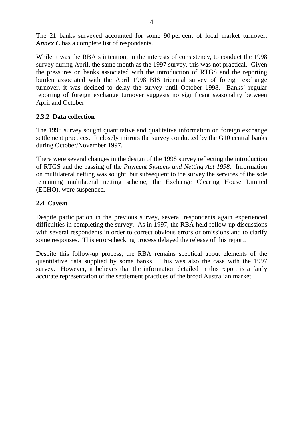The 21 banks surveyed accounted for some 90 per cent of local market turnover. *Annex C* has a complete list of respondents.

While it was the RBA's intention, in the interests of consistency, to conduct the 1998 survey during April, the same month as the 1997 survey, this was not practical. Given the pressures on banks associated with the introduction of RTGS and the reporting burden associated with the April 1998 BIS triennial survey of foreign exchange turnover, it was decided to delay the survey until October 1998. Banks' regular reporting of foreign exchange turnover suggests no significant seasonality between April and October.

#### **2.3.2 Data collection**

The 1998 survey sought quantitative and qualitative information on foreign exchange settlement practices. It closely mirrors the survey conducted by the G10 central banks during October/November 1997.

There were several changes in the design of the 1998 survey reflecting the introduction of RTGS and the passing of the *Payment Systems and Netting Act 1998*. Information on multilateral netting was sought, but subsequent to the survey the services of the sole remaining multilateral netting scheme, the Exchange Clearing House Limited (ECHO), were suspended.

#### **2.4 Caveat**

Despite participation in the previous survey, several respondents again experienced difficulties in completing the survey. As in 1997, the RBA held follow-up discussions with several respondents in order to correct obvious errors or omissions and to clarify some responses. This error-checking process delayed the release of this report.

Despite this follow-up process, the RBA remains sceptical about elements of the quantitative data supplied by some banks. This was also the case with the 1997 survey. However, it believes that the information detailed in this report is a fairly accurate representation of the settlement practices of the broad Australian market.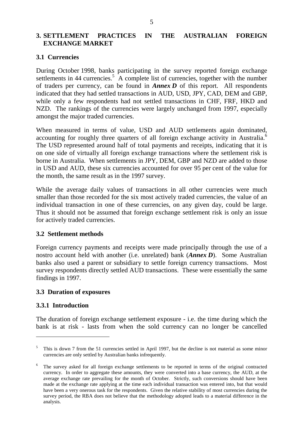#### <span id="page-10-0"></span>**3. SETTLEMENT PRACTICES IN THE AUSTRALIAN FOREIGN EXCHANGE MARKET**

#### **3.1 Currencies**

During October 1998, banks participating in the survey reported foreign exchange settlements in 44 currencies.<sup>5</sup> A complete list of currencies, together with the number of traders per currency, can be found in *Annex D* of this report. All respondents indicated that they had settled transactions in AUD, USD, JPY, CAD, DEM and GBP, while only a few respondents had not settled transactions in CHF, FRF, HKD and NZD. The rankings of the currencies were largely unchanged from 1997, especially amongst the major traded currencies.

When measured in terms of value, USD and AUD settlements again dominated, accounting for roughly three quarters of all foreign exchange activity in Australia.<sup>6</sup> The USD represented around half of total payments and receipts, indicating that it is on one side of virtually all foreign exchange transactions where the settlement risk is borne in Australia. When settlements in JPY, DEM, GBP and NZD are added to those in USD and AUD, these six currencies accounted for over 95 per cent of the value for the month, the same result as in the 1997 survey.

While the average daily values of transactions in all other currencies were much smaller than those recorded for the six most actively traded currencies, the value of an individual transaction in one of these currencies, on any given day, could be large. Thus it should not be assumed that foreign exchange settlement risk is only an issue for actively traded currencies.

#### **3.2 Settlement methods**

Foreign currency payments and receipts were made principally through the use of a nostro account held with another (i.e. unrelated) bank (*Annex D*). Some Australian banks also used a parent or subsidiary to settle foreign currency transactions. Most survey respondents directly settled AUD transactions. These were essentially the same findings in 1997.

#### **3.3 Duration of exposures**

#### **3.3.1 Introduction**

 $\overline{a}$ 

The duration of foreign exchange settlement exposure - i.e. the time during which the bank is at risk - lasts from when the sold currency can no longer be cancelled

<sup>&</sup>lt;sup>5</sup> This is down 7 from the 51 currencies settled in April 1997, but the decline is not material as some minor currencies are only settled by Australian banks infrequently.

<sup>&</sup>lt;sup>6</sup> The survey asked for all foreign exchange settlements to be reported in terms of the original contracted currency. In order to aggregate these amounts, they were converted into a base currency, the AUD, at the average exchange rate prevailing for the month of October. Strictly, such conversions should have been made at the exchange rate applying at the time each individual transaction was entered into, but that would have been a very onerous task for the respondents. Given the relative stability of most currencies during the survey period, the RBA does not believe that the methodology adopted leads to a material difference in the analysis.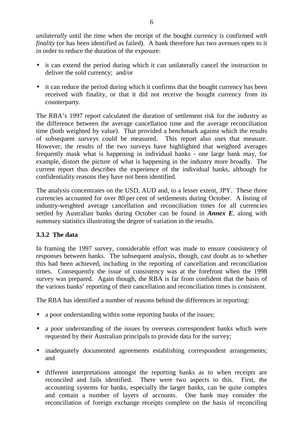*unilaterally* until the time when the receipt of the bought currency is confirmed *with finality* (or has been identified as failed). A bank therefore has two avenues open to it in order to reduce the duration of the exposure:

- it can extend the period during which it can unilaterally cancel the instruction to deliver the sold currency; and/or
- it can reduce the period during which it confirms that the bought currency has been received with finality, or that it did not receive the bought currency from its counterparty.

The RBA's 1997 report calculated the duration of settlement risk for the industry as the difference between the average cancellation time and the average reconciliation time (both weighted by value). That provided a benchmark against which the results of subsequent surveys could be measured. This report also uses that measure. However, the results of the two surveys have highlighted that weighted averages frequently mask what is happening in individual banks - one large bank may, for example, distort the picture of what is happening in the industry more broadly. The current report thus describes the experience of the individual banks, although for confidentiality reasons they have not been identified.

The analysis concentrates on the USD, AUD and, to a lesser extent, JPY. These three currencies accounted for over 80 per cent of settlements during October. A listing of industry-weighted average cancellation and reconciliation times for all currencies settled by Australian banks during October can be found in *Annex E*, along with summary statistics illustrating the degree of variation in the results.

#### **3.3.2 The data**

In framing the 1997 survey, considerable effort was made to ensure consistency of responses between banks. The subsequent analysis, though, cast doubt as to whether this had been achieved, including in the reporting of cancellation and reconciliation times. Consequently the issue of consistency was at the forefront when the 1998 survey was prepared. Again though, the RBA is far from confident that the basis of the various banks' reporting of their cancellation and reconciliation times is consistent.

The RBA has identified a number of reasons behind the differences in reporting:

- a poor understanding within some reporting banks of the issues;
- a poor understanding of the issues by overseas correspondent banks which were requested by their Australian principals to provide data for the survey;
- inadequately documented agreements establishing correspondent arrangements; and
- different interpretations amongst the reporting banks as to when receipts are reconciled and fails identified. There were two aspects to this. First, the accounting systems for banks, especially the larger banks, can be quite complex and contain a number of layers of accounts. One bank may consider the reconciliation of foreign exchange receipts complete on the basis of reconciling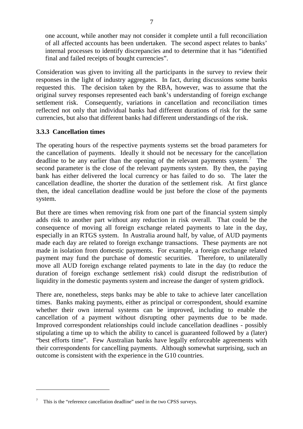one account, while another may not consider it complete until a full reconciliation of all affected accounts has been undertaken. The second aspect relates to banks' internal processes to identify discrepancies and to determine that it has "identified final and failed receipts of bought currencies".

Consideration was given to inviting all the participants in the survey to review their responses in the light of industry aggregates. In fact, during discussions some banks requested this. The decision taken by the RBA, however, was to assume that the original survey responses represented each bank's understanding of foreign exchange settlement risk. Consequently, variations in cancellation and reconciliation times reflected not only that individual banks had different durations of risk for the same currencies, but also that different banks had different understandings of the risk.

#### **3.3.3 Cancellation times**

The operating hours of the respective payments systems set the broad parameters for the cancellation of payments. Ideally it should not be necessary for the cancellation deadline to be any earlier than the opening of the relevant payments system.<sup>7</sup> The second parameter is the close of the relevant payments system. By then, the paying bank has either delivered the local currency or has failed to do so. The later the cancellation deadline, the shorter the duration of the settlement risk. At first glance then, the ideal cancellation deadline would be just before the close of the payments system.

But there are times when removing risk from one part of the financial system simply adds risk to another part without any reduction in risk overall. That could be the consequence of moving all foreign exchange related payments to late in the day, especially in an RTGS system. In Australia around half, by value, of AUD payments made each day are related to foreign exchange transactions. These payments are not made in isolation from domestic payments. For example, a foreign exchange related payment may fund the purchase of domestic securities. Therefore, to unilaterally move all AUD foreign exchange related payments to late in the day (to reduce the duration of foreign exchange settlement risk) could disrupt the redistribution of liquidity in the domestic payments system and increase the danger of system gridlock.

There are, nonetheless, steps banks may be able to take to achieve later cancellation times. Banks making payments, either as principal or correspondent, should examine whether their own internal systems can be improved, including to enable the cancellation of a payment without disrupting other payments due to be made. Improved correspondent relationships could include cancellation deadlines - possibly stipulating a time up to which the ability to cancel is guaranteed followed by a (later) "best efforts time". Few Australian banks have legally enforceable agreements with their correspondents for cancelling payments. Although somewhat surprising, such an outcome is consistent with the experience in the G10 countries.

<sup>7</sup> This is the "reference cancellation deadline" used in the two CPSS surveys.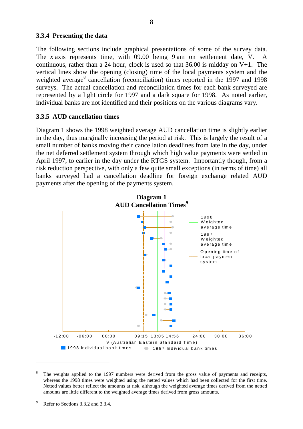#### **3.3.4 Presenting the data**

The following sections include graphical presentations of some of the survey data. The *x* axis represents time, with 09.00 being 9 am on settlement date, V. A continuous, rather than a 24 hour, clock is used so that  $36.00$  is midday on V+1. The vertical lines show the opening (closing) time of the local payments system and the weighted average<sup>8</sup> cancellation (reconciliation) times reported in the 1997 and 1998 surveys. The actual cancellation and reconciliation times for each bank surveyed are represented by a light circle for 1997 and a dark square for 1998. As noted earlier, individual banks are not identified and their positions on the various diagrams vary.

#### **3.3.5 AUD cancellation times**

Diagram 1 shows the 1998 weighted average AUD cancellation time is slightly earlier in the day, thus marginally increasing the period at risk. This is largely the result of a small number of banks moving their cancellation deadlines from late in the day, under the net deferred settlement system through which high value payments were settled in April 1997, to earlier in the day under the RTGS system. Importantly though, from a risk reduction perspective, with only a few quite small exceptions (in terms of time) all banks surveyed had a cancellation deadline for foreign exchange related AUD payments after the opening of the payments system.



<sup>8</sup> The weights applied to the 1997 numbers were derived from the gross value of payments and receipts, whereas the 1998 times were weighted using the netted values which had been collected for the first time. Netted values better reflect the amounts at risk, although the weighted average times derived from the netted amounts are little different to the weighted average times derived from gross amounts.

<sup>9</sup> Refer to Sections 3.3.2 and 3.3.4.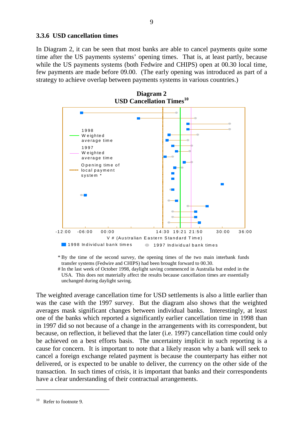#### **3.3.6 USD cancellation times**

In Diagram 2, it can be seen that most banks are able to cancel payments quite some time after the US payments systems' opening times. That is, at least partly, because while the US payments systems (both Fedwire and CHIPS) open at 00.30 local time, few payments are made before 09.00. (The early opening was introduced as part of a strategy to achieve overlap between payments systems in various countries.)



\* By the time of the second survey, the opening times of the two main interbank funds transfer systems (Fedwire and CHIPS) had been brought forward to 00.30.

# In the last week of October 1998, daylight saving commenced in Australia but ended in the USA. This does not materially affect the results because cancellation times are essentially unchanged during daylight saving.

The weighted average cancellation time for USD settlements is also a little earlier than was the case with the 1997 survey. But the diagram also shows that the weighted averages mask significant changes between individual banks. Interestingly, at least one of the banks which reported a significantly earlier cancellation time in 1998 than in 1997 did so not because of a change in the arrangements with its correspondent, but because, on reflection, it believed that the later (i.e. 1997) cancellation time could only be achieved on a best efforts basis. The uncertainty implicit in such reporting is a cause for concern. It is important to note that a likely reason why a bank will seek to cancel a foreign exchange related payment is because the counterparty has either not delivered, or is expected to be unable to deliver, the currency on the other side of the transaction. In such times of crisis, it is important that banks and their correspondents have a clear understanding of their contractual arrangements.

 $10$  Refer to footnote 9.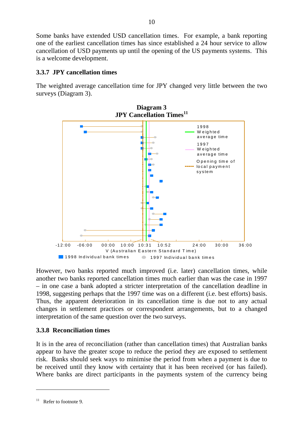Some banks have extended USD cancellation times. For example, a bank reporting one of the earliest cancellation times has since established a 24 hour service to allow cancellation of USD payments up until the opening of the US payments systems. This is a welcome development.

#### **3.3.7 JPY cancellation times**

The weighted average cancellation time for JPY changed very little between the two surveys (Diagram 3).



However, two banks reported much improved (i.e. later) cancellation times, while another two banks reported cancellation times much earlier than was the case in 1997 – in one case a bank adopted a stricter interpretation of the cancellation deadline in 1998, suggesting perhaps that the 1997 time was on a different (i.e. best efforts) basis. Thus, the apparent deterioration in its cancellation time is due not to any actual changes in settlement practices or correspondent arrangements, but to a changed interpretation of the same question over the two surveys.

#### **3.3.8 Reconciliation times**

It is in the area of reconciliation (rather than cancellation times) that Australian banks appear to have the greater scope to reduce the period they are exposed to settlement risk. Banks should seek ways to minimise the period from when a payment is due to be received until they know with certainty that it has been received (or has failed). Where banks are direct participants in the payments system of the currency being

 $11$  Refer to footnote 9.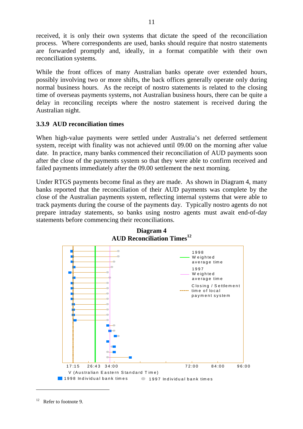received, it is only their own systems that dictate the speed of the reconciliation process. Where correspondents are used, banks should require that nostro statements are forwarded promptly and, ideally, in a format compatible with their own reconciliation systems.

While the front offices of many Australian banks operate over extended hours, possibly involving two or more shifts, the back offices generally operate only during normal business hours. As the receipt of nostro statements is related to the closing time of overseas payments systems, not Australian business hours, there can be quite a delay in reconciling receipts where the nostro statement is received during the Australian night.

#### **3.3.9 AUD reconciliation times**

When high-value payments were settled under Australia's net deferred settlement system, receipt with finality was not achieved until 09.00 on the morning after value date. In practice, many banks commenced their reconciliation of AUD payments soon after the close of the payments system so that they were able to confirm received and failed payments immediately after the 09.00 settlement the next morning.

Under RTGS payments become final as they are made. As shown in Diagram 4, many banks reported that the reconciliation of their AUD payments was complete by the close of the Australian payments system, reflecting internal systems that were able to track payments during the course of the payments day. Typically nostro agents do not prepare intraday statements, so banks using nostro agents must await end-of-day statements before commencing their reconciliations.



**Diagram 4 AUD Reconciliation Times<sup>12</sup>**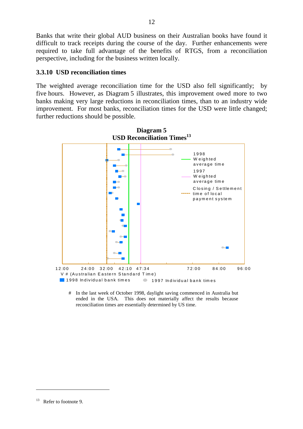Banks that write their global AUD business on their Australian books have found it difficult to track receipts during the course of the day. Further enhancements were required to take full advantage of the benefits of RTGS, from a reconciliation perspective, including for the business written locally.

#### **3.3.10 USD reconciliation times**

The weighted average reconciliation time for the USD also fell significantly; by five hours. However, as Diagram 5 illustrates, this improvement owed more to two banks making very large reductions in reconciliation times, than to an industry wide improvement. For most banks, reconciliation times for the USD were little changed; further reductions should be possible.



<sup>#</sup> In the last week of October 1998, daylight saving commenced in Australia but ended in the USA. This does not materially affect the results because reconciliation times are essentially determined by US time.

<sup>&</sup>lt;sup>13</sup> Refer to footnote 9.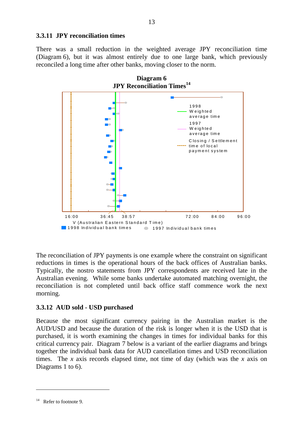#### **3.3.11 JPY reconciliation times**

There was a small reduction in the weighted average JPY reconciliation time (Diagram 6), but it was almost entirely due to one large bank, which previously reconciled a long time after other banks, moving closer to the norm.



The reconciliation of JPY payments is one example where the constraint on significant reductions in times is the operational hours of the back offices of Australian banks. Typically, the nostro statements from JPY correspondents are received late in the Australian evening. While some banks undertake automated matching overnight, the reconciliation is not completed until back office staff commence work the next morning.

#### **3.3.12 AUD sold - USD purchased**

Because the most significant currency pairing in the Australian market is the AUD/USD and because the duration of the risk is longer when it is the USD that is purchased, it is worth examining the changes in times for individual banks for this critical currency pair. Diagram 7 below is a variant of the earlier diagrams and brings together the individual bank data for AUD cancellation times and USD reconciliation times. The *x* axis records elapsed time, not time of day (which was the *x* axis on Diagrams 1 to 6).

<sup>&</sup>lt;sup>14</sup> Refer to footnote 9.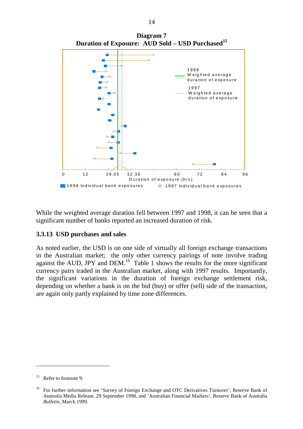

**Diagram 7 Duration of Exposure: AUD Sold – USD Purchased<sup>15</sup>**

While the weighted average duration fell between 1997 and 1998, it can be seen that a significant number of banks reported an increased duration of risk.

#### **3.3.13 USD purchases and sales**

As noted earlier, the USD is on one side of virtually all foreign exchange transactions in the Australian market; the only other currency pairings of note involve trading against the AUD, JPY and DEM.<sup>16</sup> Table 1 shows the results for the more significant currency pairs traded in the Australian market, along with 1997 results. Importantly, the significant variations in the duration of foreign exchange settlement risk, depending on whether a bank is on the bid (buy) or offer (sell) side of the transaction, are again only partly explained by time zone differences.

 $\overline{a}$ 

 $15$  Refer to footnote 9.

<sup>&</sup>lt;sup>16</sup> For further information see 'Survey of Foreign Exchange and OTC Derivatives Turnover', Reserve Bank of Australia Media Release, 29 September 1998, and 'Australian Financial Markets', Reserve Bank of Australia *Bulletin*, March 1999.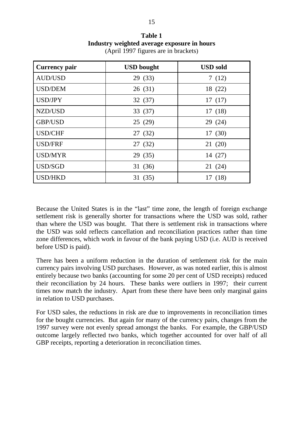**Table 1 Industry weighted average exposure in hours** (April 1997 figures are in brackets)

| Currency pair  | <b>USD</b> bought | <b>USD</b> sold |
|----------------|-------------------|-----------------|
| <b>AUD/USD</b> | 29 (33)           | 7(12)           |
| <b>USD/DEM</b> | 26 (31)           | 18 (22)         |
| USD/JPY        | 32(37)            | 17(17)          |
| NZD/USD        | 33 (37)           | 17(18)          |
| <b>GBP/USD</b> | 25(29)            | 29 (24)         |
| <b>USD/CHF</b> | 27 (32)           | 17(30)          |
| <b>USD/FRF</b> | 27 (32)           | 21(20)          |
| USD/MYR        | 29 (35)           | 14 (27)         |
| USD/SGD        | 31 (36)           | 21(24)          |
| <b>USD/HKD</b> | 31(35)            | 17 (18)         |

Because the United States is in the "last" time zone, the length of foreign exchange settlement risk is generally shorter for transactions where the USD was sold, rather than where the USD was bought. That there is settlement risk in transactions where the USD was sold reflects cancellation and reconciliation practices rather than time zone differences, which work in favour of the bank paying USD (i.e. AUD is received before USD is paid).

There has been a uniform reduction in the duration of settlement risk for the main currency pairs involving USD purchases. However, as was noted earlier, this is almost entirely because two banks (accounting for some 20 per cent of USD receipts) reduced their reconciliation by 24 hours. These banks were outliers in 1997; their current times now match the industry. Apart from these there have been only marginal gains in relation to USD purchases.

For USD sales, the reductions in risk are due to improvements in reconciliation times for the bought currencies. But again for many of the currency pairs, changes from the 1997 survey were not evenly spread amongst the banks. For example, the GBP/USD outcome largely reflected two banks, which together accounted for over half of all GBP receipts, reporting a deterioration in reconciliation times.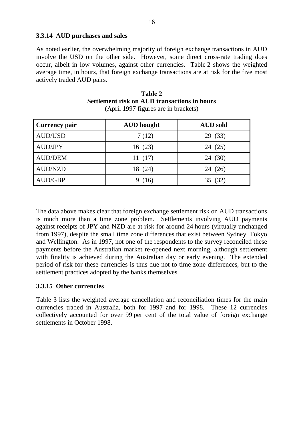#### **3.3.14 AUD purchases and sales**

As noted earlier, the overwhelming majority of foreign exchange transactions in AUD involve the USD on the other side. However, some direct cross-rate trading does occur, albeit in low volumes, against other currencies. Table 2 shows the weighted average time, in hours, that foreign exchange transactions are at risk for the five most actively traded AUD pairs.

| Table 2                                             |  |  |  |  |
|-----------------------------------------------------|--|--|--|--|
| <b>Settlement risk on AUD transactions in hours</b> |  |  |  |  |
| (April 1997 figures are in brackets)                |  |  |  |  |

| Currency pair  | <b>AUD</b> bought | <b>AUD</b> sold |
|----------------|-------------------|-----------------|
| <b>AUD/USD</b> | 7(12)             | 29 (33)         |
| <b>AUD/JPY</b> | 16(23)            | 24 (25)         |
| <b>AUD/DEM</b> | 11(17)            | 24 (30)         |
| <b>AUD/NZD</b> | 18 (24)           | 24 (26)         |
| AUD/GBP        | (16)              | 35(32)          |

The data above makes clear that foreign exchange settlement risk on AUD transactions is much more than a time zone problem. Settlements involving AUD payments against receipts of JPY and NZD are at risk for around 24 hours (virtually unchanged from 1997), despite the small time zone differences that exist between Sydney, Tokyo and Wellington. As in 1997, not one of the respondents to the survey reconciled these payments before the Australian market re-opened next morning, although settlement with finality is achieved during the Australian day or early evening. The extended period of risk for these currencies is thus due not to time zone differences, but to the settlement practices adopted by the banks themselves.

#### **3.3.15 Other currencies**

Table 3 lists the weighted average cancellation and reconciliation times for the main currencies traded in Australia, both for 1997 and for 1998. These 12 currencies collectively accounted for over 99 per cent of the total value of foreign exchange settlements in October 1998.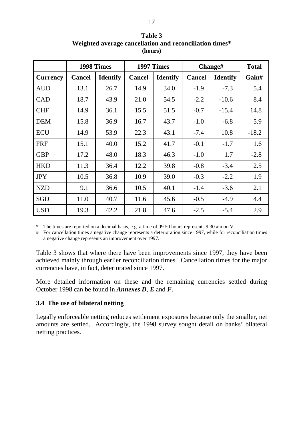|                 |               | 1998 Times      | 1997 Times    |                 | Change#       |                 | <b>Total</b> |
|-----------------|---------------|-----------------|---------------|-----------------|---------------|-----------------|--------------|
| <b>Currency</b> | <b>Cancel</b> | <b>Identify</b> | <b>Cancel</b> | <b>Identify</b> | <b>Cancel</b> | <b>Identify</b> | Gain#        |
| <b>AUD</b>      | 13.1          | 26.7            | 14.9          | 34.0            | $-1.9$        | $-7.3$          | 5.4          |
| <b>CAD</b>      | 18.7          | 43.9            | 21.0          | 54.5            | $-2.2$        | $-10.6$         | 8.4          |
| <b>CHF</b>      | 14.9          | 36.1            | 15.5          | 51.5            | $-0.7$        | $-15.4$         | 14.8         |
| <b>DEM</b>      | 15.8          | 36.9            | 16.7          | 43.7            | $-1.0$        | $-6.8$          | 5.9          |
| <b>ECU</b>      | 14.9          | 53.9            | 22.3          | 43.1            | $-7.4$        | 10.8            | $-18.2$      |
| <b>FRF</b>      | 15.1          | 40.0            | 15.2          | 41.7            | $-0.1$        | $-1.7$          | 1.6          |
| <b>GBP</b>      | 17.2          | 48.0            | 18.3          | 46.3            | $-1.0$        | 1.7             | $-2.8$       |
| <b>HKD</b>      | 11.3          | 36.4            | 12.2          | 39.8            | $-0.8$        | $-3.4$          | 2.5          |
| <b>JPY</b>      | 10.5          | 36.8            | 10.9          | 39.0            | $-0.3$        | $-2.2$          | 1.9          |
| <b>NZD</b>      | 9.1           | 36.6            | 10.5          | 40.1            | $-1.4$        | $-3.6$          | 2.1          |
| SGD             | 11.0          | 40.7            | 11.6          | 45.6            | $-0.5$        | $-4.9$          | 4.4          |
| <b>USD</b>      | 19.3          | 42.2            | 21.8          | 47.6            | $-2.5$        | $-5.4$          | 2.9          |

**Table 3 Weighted average cancellation and reconciliation times\* (hours)**

\* The times are reported on a decimal basis, e.g. a time of 09.50 hours represents 9.30 am on V.

# For cancellation times a negative change represents a deterioration since 1997, while for reconciliation times a negative change represents an improvement over 1997.

Table 3 shows that where there have been improvements since 1997, they have been achieved mainly through earlier reconciliation times. Cancellation times for the major currencies have, in fact, deteriorated since 1997.

More detailed information on these and the remaining currencies settled during October 1998 can be found in *Annexes D*, *E* and *F*.

#### **3.4 The use of bilateral netting**

Legally enforceable netting reduces settlement exposures because only the smaller, net amounts are settled. Accordingly, the 1998 survey sought detail on banks' bilateral netting practices.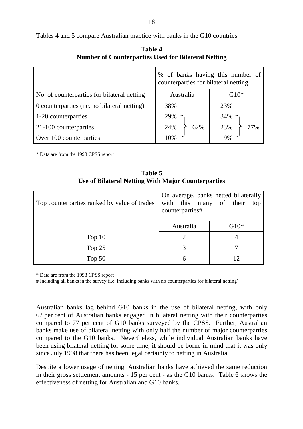Tables 4 and 5 compare Australian practice with banks in the G10 countries.

|                                              | % of banks having this number of<br>counterparties for bilateral netting |            |  |
|----------------------------------------------|--------------------------------------------------------------------------|------------|--|
| No. of counterparties for bilateral netting  | Australia                                                                | $G10*$     |  |
| 0 counterparties (i.e. no bilateral netting) | 38%                                                                      | 23%        |  |
| 1-20 counterparties                          | 29%                                                                      | 34%        |  |
| 21-100 counterparties                        | 24%<br>62%                                                               | 23%<br>77% |  |
| Over 100 counterparties                      |                                                                          |            |  |

| Table 4                                                    |  |  |  |  |
|------------------------------------------------------------|--|--|--|--|
| <b>Number of Counterparties Used for Bilateral Netting</b> |  |  |  |  |

\* Data are from the 1998 CPSS report

| Table 5                                            |
|----------------------------------------------------|
| Use of Bilateral Netting With Major Counterparties |

| Top counterparties ranked by value of trades | with this many of their<br>counterparties# | On average, banks netted bilaterally<br>top |
|----------------------------------------------|--------------------------------------------|---------------------------------------------|
|                                              | Australia                                  | $G10*$                                      |
| Top $10$                                     |                                            | 4                                           |
| Top 25                                       |                                            |                                             |
| Top $50$                                     | 6                                          | 12                                          |

\* Data are from the 1998 CPSS report

# Including all banks in the survey (i.e. including banks with no counterparties for bilateral netting)

Australian banks lag behind G10 banks in the use of bilateral netting, with only 62 per cent of Australian banks engaged in bilateral netting with their counterparties compared to 77 per cent of G10 banks surveyed by the CPSS. Further, Australian banks make use of bilateral netting with only half the number of major counterparties compared to the G10 banks. Nevertheless, while individual Australian banks have been using bilateral netting for some time, it should be borne in mind that it was only since July 1998 that there has been legal certainty to netting in Australia.

Despite a lower usage of netting, Australian banks have achieved the same reduction in their gross settlement amounts - 15 per cent - as the G10 banks. Table 6 shows the effectiveness of netting for Australian and G10 banks.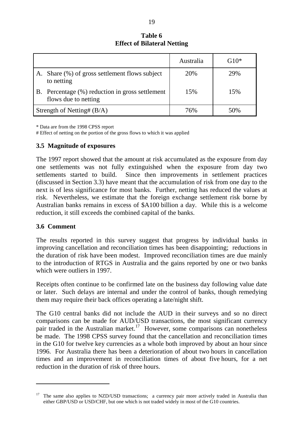#### **Table 6 Effect of Bilateral Netting**

|           |                                                                      | Australia | $G10*$ |
|-----------|----------------------------------------------------------------------|-----------|--------|
|           | A. Share (%) of gross settlement flows subject<br>to netting         | 20%       | 29%    |
| <b>B.</b> | Percentage (%) reduction in gross settlement<br>flows due to netting | 15%       | 15%    |
|           | Strength of Netting# $(B/A)$                                         | 76%       | 50\%   |

\* Data are from the 1998 CPSS report

# Effect of netting on the portion of the gross flows to which it was applied

#### **3.5 Magnitude of exposures**

The 1997 report showed that the amount at risk accumulated as the exposure from day one settlements was not fully extinguished when the exposure from day two settlements started to build. Since then improvements in settlement practices (discussed in Section 3.3) have meant that the accumulation of risk from one day to the next is of less significance for most banks. Further, netting has reduced the values at risk. Nevertheless, we estimate that the foreign exchange settlement risk borne by Australian banks remains in excess of \$A100 billion a day. While this is a welcome reduction, it still exceeds the combined capital of the banks.

#### **3.6 Comment**

The results reported in this survey suggest that progress by individual banks in improving cancellation and reconciliation times has been disappointing; reductions in the duration of risk have been modest. Improved reconciliation times are due mainly to the introduction of RTGS in Australia and the gains reported by one or two banks which were outliers in 1997.

Receipts often continue to be confirmed late on the business day following value date or later. Such delays are internal and under the control of banks, though remedying them may require their back offices operating a late/night shift.

The G10 central banks did not include the AUD in their surveys and so no direct comparisons can be made for AUD/USD transactions, the most significant currency pair traded in the Australian market.<sup>17</sup> However, some comparisons can nonetheless be made. The 1998 CPSS survey found that the cancellation and reconciliation times in the G10 for twelve key currencies as a whole both improved by about an hour since 1996. For Australia there has been a deterioration of about two hours in cancellation times and an improvement in reconciliation times of about five hours, for a net reduction in the duration of risk of three hours.

The same also applies to NZD/USD transactions; a currency pair more actively traded in Australia than either GBP/USD or USD/CHF, but one which is not traded widely in most of the G10 countries.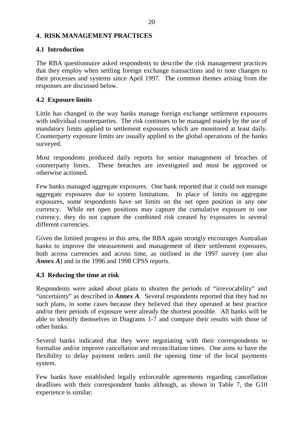#### <span id="page-25-0"></span>**4. RISK MANAGEMENT PRACTICES**

#### **4.1 Introduction**

The RBA questionnaire asked respondents to describe the risk management practices that they employ when settling foreign exchange transactions and to note changes to their processes and systems since April 1997. The common themes arising from the responses are discussed below.

#### **4.2 Exposure limits**

Little has changed in the way banks manage foreign exchange settlement exposures with individual counterparties. The risk continues to be managed mainly by the use of mandatory limits applied to settlement exposures which are monitored at least daily. Counterparty exposure limits are usually applied to the global operations of the banks surveyed.

Most respondents produced daily reports for senior management of breaches of counterparty limits. These breaches are investigated and must be approved or otherwise actioned.

Few banks managed aggregate exposures. One bank reported that it could not manage aggregate exposures due to system limitations. In place of limits on aggregate exposures, some respondents have set limits on the net open position in any one currency. While net open positions may capture the cumulative exposure to one currency, they do not capture the combined risk created by exposures in several different currencies.

Given the limited progress in this area, the RBA again strongly encourages Australian banks to improve the measurement and management of their settlement exposures, both across currencies and across time, as outlined in the 1997 survey (see also *Annex A*) and in the 1996 and 1998 CPSS reports.

#### **4.3 Reducing the time at risk**

Respondents were asked about plans to shorten the periods of "irrevocability" and "uncertainty" as described in *Annex A*. Several respondents reported that they had no such plans, in some cases because they believed that they operated at best practice and/or their periods of exposure were already the shortest possible. All banks will be able to identify themselves in Diagrams 1-7 and compare their results with those of other banks.

Several banks indicated that they were negotiating with their correspondents to formalise and/or improve cancellation and reconciliation times. One aims to have the flexibility to delay payment orders until the opening time of the local payments system.

Few banks have established legally enforceable agreements regarding cancellation deadlines with their correspondent banks although, as shown in Table 7, the G10 experience is similar.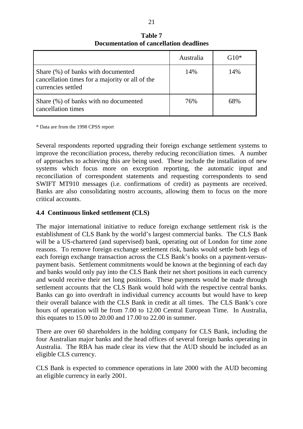|                                                                                                             | Australia | $G10*$ |
|-------------------------------------------------------------------------------------------------------------|-----------|--------|
| Share (%) of banks with documented<br>cancellation times for a majority or all of the<br>currencies settled | 14%       | 14%    |
| Share (%) of banks with no documented<br>cancellation times                                                 | 76%       | 68%    |

**Table 7 Documentation of cancellation deadlines**

\* Data are from the 1998 CPSS report

Several respondents reported upgrading their foreign exchange settlement systems to improve the reconciliation process, thereby reducing reconciliation times. A number of approaches to achieving this are being used. These include the installation of new systems which focus more on exception reporting, the automatic input and reconciliation of correspondent statements and requesting correspondents to send SWIFT MT910 messages (i.e. confirmations of credit) as payments are received. Banks are also consolidating nostro accounts, allowing them to focus on the more critical accounts.

#### **4.4 Continuous linked settlement (CLS)**

The major international initiative to reduce foreign exchange settlement risk is the establishment of CLS Bank by the world's largest commercial banks. The CLS Bank will be a US-chartered (and supervised) bank, operating out of London for time zone reasons. To remove foreign exchange settlement risk, banks would settle both legs of each foreign exchange transaction across the CLS Bank's books on a payment-versuspayment basis. Settlement commitments would be known at the beginning of each day and banks would only pay into the CLS Bank their net short positions in each currency and would receive their net long positions. These payments would be made through settlement accounts that the CLS Bank would hold with the respective central banks. Banks can go into overdraft in individual currency accounts but would have to keep their overall balance with the CLS Bank in credit at all times. The CLS Bank's core hours of operation will be from 7.00 to 12.00 Central European Time. In Australia, this equates to 15.00 to 20.00 and 17.00 to 22.00 in summer.

There are over 60 shareholders in the holding company for CLS Bank, including the four Australian major banks and the head offices of several foreign banks operating in Australia. The RBA has made clear its view that the AUD should be included as an eligible CLS currency.

CLS Bank is expected to commence operations in late 2000 with the AUD becoming an eligible currency in early 2001.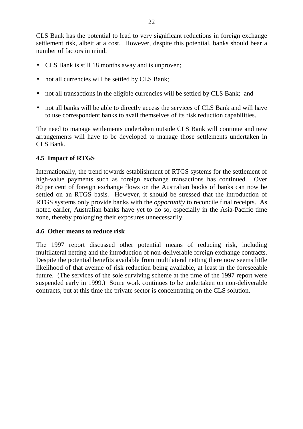CLS Bank has the potential to lead to very significant reductions in foreign exchange settlement risk, albeit at a cost. However, despite this potential, banks should bear a number of factors in mind:

- CLS Bank is still 18 months away and is unproven;
- not all currencies will be settled by CLS Bank;
- not all transactions in the eligible currencies will be settled by CLS Bank; and
- not all banks will be able to directly access the services of CLS Bank and will have to use correspondent banks to avail themselves of its risk reduction capabilities.

The need to manage settlements undertaken outside CLS Bank will continue and new arrangements will have to be developed to manage those settlements undertaken in CLS Bank.

#### **4.5 Impact of RTGS**

Internationally, the trend towards establishment of RTGS systems for the settlement of high-value payments such as foreign exchange transactions has continued. Over 80 per cent of foreign exchange flows on the Australian books of banks can now be settled on an RTGS basis. However, it should be stressed that the introduction of RTGS systems only provide banks with the *opportunity* to reconcile final receipts. As noted earlier, Australian banks have yet to do so, especially in the Asia-Pacific time zone, thereby prolonging their exposures unnecessarily.

#### **4.6 Other means to reduce risk**

The 1997 report discussed other potential means of reducing risk, including multilateral netting and the introduction of non-deliverable foreign exchange contracts. Despite the potential benefits available from multilateral netting there now seems little likelihood of that avenue of risk reduction being available, at least in the foreseeable future. (The services of the sole surviving scheme at the time of the 1997 report were suspended early in 1999.) Some work continues to be undertaken on non-deliverable contracts, but at this time the private sector is concentrating on the CLS solution.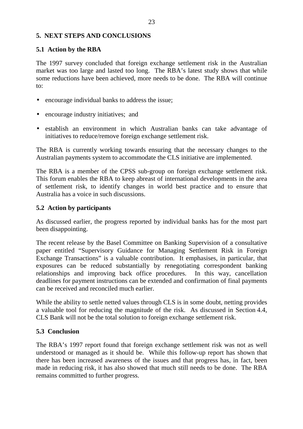#### <span id="page-28-0"></span>**5. NEXT STEPS AND CONCLUSIONS**

#### **5.1 Action by the RBA**

The 1997 survey concluded that foreign exchange settlement risk in the Australian market was too large and lasted too long. The RBA's latest study shows that while some reductions have been achieved, more needs to be done. The RBA will continue to:

- encourage individual banks to address the issue;
- encourage industry initiatives; and
- establish an environment in which Australian banks can take advantage of initiatives to reduce/remove foreign exchange settlement risk.

The RBA is currently working towards ensuring that the necessary changes to the Australian payments system to accommodate the CLS initiative are implemented.

The RBA is a member of the CPSS sub-group on foreign exchange settlement risk. This forum enables the RBA to keep abreast of international developments in the area of settlement risk, to identify changes in world best practice and to ensure that Australia has a voice in such discussions.

#### **5.2 Action by participants**

As discussed earlier, the progress reported by individual banks has for the most part been disappointing.

The recent release by the Basel Committee on Banking Supervision of a consultative paper entitled "Supervisory Guidance for Managing Settlement Risk in Foreign Exchange Transactions" is a valuable contribution. It emphasises, in particular, that exposures can be reduced substantially by renegotiating correspondent banking relationships and improving back office procedures. In this way, cancellation deadlines for payment instructions can be extended and confirmation of final payments can be received and reconciled much earlier.

While the ability to settle netted values through CLS is in some doubt, netting provides a valuable tool for reducing the magnitude of the risk. As discussed in Section 4.4, CLS Bank will not be the total solution to foreign exchange settlement risk.

#### **5.3 Conclusion**

The RBA's 1997 report found that foreign exchange settlement risk was not as well understood or managed as it should be. While this follow-up report has shown that there has been increased awareness of the issues and that progress has, in fact, been made in reducing risk, it has also showed that much still needs to be done. The RBA remains committed to further progress.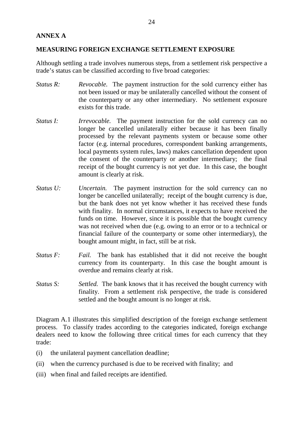#### <span id="page-29-0"></span>**ANNEX A**

#### **MEASURING FOREIGN EXCHANGE SETTLEMENT EXPOSURE**

Although settling a trade involves numerous steps, from a settlement risk perspective a trade's status can be classified according to five broad categories:

- *Status R:* Revocable. The payment instruction for the sold currency either has not been issued or may be unilaterally cancelled without the consent of the counterparty or any other intermediary. No settlement exposure exists for this trade.
- *Status I: Irrevocable.* The payment instruction for the sold currency can no longer be cancelled unilaterally either because it has been finally processed by the relevant payments system or because some other factor (e.g. internal procedures, correspondent banking arrangements, local payments system rules, laws) makes cancellation dependent upon the consent of the counterparty or another intermediary; the final receipt of the bought currency is not yet due. In this case, the bought amount is clearly at risk.
- *Status U: Uncertain.* The payment instruction for the sold currency can no longer be cancelled unilaterally; receipt of the bought currency is due, but the bank does not yet know whether it has received these funds with finality. In normal circumstances, it expects to have received the funds on time. However, since it is possible that the bought currency was not received when due (e.g. owing to an error or to a technical or financial failure of the counterparty or some other intermediary), the bought amount might, in fact, still be at risk.
- *Status F: Fail.* The bank has established that it did not receive the bought currency from its counterparty. In this case the bought amount is overdue and remains clearly at risk.
- *Status S: Settled.* The bank knows that it has received the bought currency with finality. From a settlement risk perspective, the trade is considered settled and the bought amount is no longer at risk.

Diagram A.1 illustrates this simplified description of the foreign exchange settlement process. To classify trades according to the categories indicated, foreign exchange dealers need to know the following three critical times for each currency that they trade:

- (i) the unilateral payment cancellation deadline;
- (ii) when the currency purchased is due to be received with finality; and
- (iii) when final and failed receipts are identified.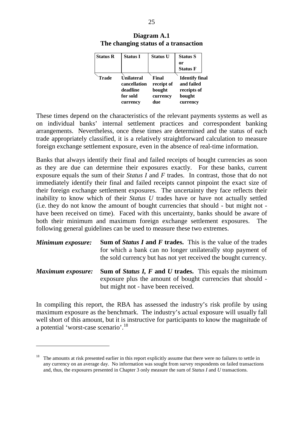| <b>Status R</b> | <b>Status I</b> | <b>Status U</b> | <b>Status S</b><br>or<br><b>Status F</b> |
|-----------------|-----------------|-----------------|------------------------------------------|
| Trade           | Unilateral      | Final           | <b>Identify final</b>                    |
|                 | cancellation    | receipt of      | and failed                               |
|                 | deadline        | bought          | receipts of                              |
|                 | for sold        | currency        | bought                                   |
|                 | currency        | due             | currency                                 |

**Diagram A.1 The changing status of a transaction**

These times depend on the characteristics of the relevant payments systems as well as on individual banks' internal settlement practices and correspondent banking arrangements. Nevertheless, once these times are determined and the status of each trade appropriately classified, it is a relatively straightforward calculation to measure foreign exchange settlement exposure, even in the absence of real-time information.

Banks that always identify their final and failed receipts of bought currencies as soon as they are due can determine their exposures exactly. For these banks, current exposure equals the sum of their *Status I* and *F* trades. In contrast, those that do not immediately identify their final and failed receipts cannot pinpoint the exact size of their foreign exchange settlement exposures. The uncertainty they face reflects their inability to know which of their *Status U* trades have or have not actually settled (i.e. they do not know the amount of bought currencies that should - but might not have been received on time). Faced with this uncertainty, banks should be aware of both their minimum and maximum foreign exchange settlement exposures. The following general guidelines can be used to measure these two extremes.

| Minimum exposure:        | <b>Sum of Status I and F trades.</b> This is the value of the trades<br>for which a bank can no longer unilaterally stop payment of<br>the sold currency but has not yet received the bought currency. |
|--------------------------|--------------------------------------------------------------------------------------------------------------------------------------------------------------------------------------------------------|
| <b>Maximum exposure:</b> | <b>Sum of Status I, F and U trades.</b> This equals the minimum<br>exposure plus the amount of bought currencies that should -<br>but might not - have been received.                                  |

In compiling this report, the RBA has assessed the industry's risk profile by using maximum exposure as the benchmark. The industry's actual exposure will usually fall well short of this amount, but it is instructive for participants to know the magnitude of a potential 'worst-case scenario'.<sup>18</sup>

<sup>&</sup>lt;sup>18</sup> The amounts at risk presented earlier in this report explicitly assume that there were no failures to settle in any currency on an average day. No information was sought from survey respondents on failed transactions and, thus, the exposures presented in Chapter 3 only measure the sum of *Status I* and *U* transactions.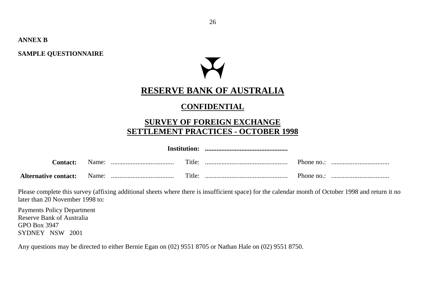**ANNEX B**

**SAMPLE QUESTIONNAIRE**

# **RESERVE BANK OF AUSTRALIA**

# **CONFIDENTIAL**

# **SURVEY OF FOREIGN EXCHANGE SETTLEMENT PRACTICES - OCTOBER 1998**

|                 |  | Institution: |            |  |
|-----------------|--|--------------|------------|--|
| <b>Contact:</b> |  | Title:       | Phone no.: |  |
|                 |  | Title:       | Phone no.: |  |

Please complete this survey (affixing additional sheets where there is insufficient space) for the calendar month of October 1998 and return it no later than 20 November 1998 to:

Payments Policy Department Reserve Bank of Australia GPO Box 3947 SYDNEY NSW 2001

Any questions may be directed to either Bernie Egan on (02) 9551 8705 or Nathan Hale on (02) 9551 8750.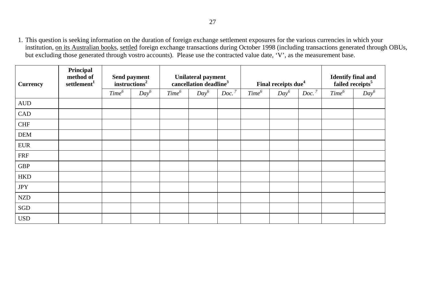1. This question is seeking information on the duration of foreign exchange settlement exposures for the various currencies in which your institution, on its Australian books, settled foreign exchange transactions during October 1998 (including transactions generated through OBUs, but excluding those generated through vostro accounts). Please use the contracted value date, 'V', as the measurement base.

| <b>Currency</b>  | Principal<br>method of<br>settlement <sup>1</sup> |                   | Send payment<br>instructor <sup>2</sup> | Unilateral payment<br>cancellation deadline <sup>3</sup> |         | Final receipts due <sup>4</sup> |                   |         | Identify final and<br>failed receipts <sup>5</sup> |                   |         |
|------------------|---------------------------------------------------|-------------------|-----------------------------------------|----------------------------------------------------------|---------|---------------------------------|-------------------|---------|----------------------------------------------------|-------------------|---------|
|                  |                                                   | Time <sup>6</sup> | $Day^6$                                 | Time <sup>6</sup>                                        | $Day^6$ | Doc. <sup>7</sup>               | Time <sup>6</sup> | $Day^6$ | Doc. <sup>7</sup>                                  | Time <sup>6</sup> | $Day^6$ |
| $\mbox{\rm AUD}$ |                                                   |                   |                                         |                                                          |         |                                 |                   |         |                                                    |                   |         |
| CAD              |                                                   |                   |                                         |                                                          |         |                                 |                   |         |                                                    |                   |         |
| <b>CHF</b>       |                                                   |                   |                                         |                                                          |         |                                 |                   |         |                                                    |                   |         |
| <b>DEM</b>       |                                                   |                   |                                         |                                                          |         |                                 |                   |         |                                                    |                   |         |
| <b>EUR</b>       |                                                   |                   |                                         |                                                          |         |                                 |                   |         |                                                    |                   |         |
| <b>FRF</b>       |                                                   |                   |                                         |                                                          |         |                                 |                   |         |                                                    |                   |         |
| <b>GBP</b>       |                                                   |                   |                                         |                                                          |         |                                 |                   |         |                                                    |                   |         |
| <b>HKD</b>       |                                                   |                   |                                         |                                                          |         |                                 |                   |         |                                                    |                   |         |
| $\mathrm{JPY}$   |                                                   |                   |                                         |                                                          |         |                                 |                   |         |                                                    |                   |         |
| <b>NZD</b>       |                                                   |                   |                                         |                                                          |         |                                 |                   |         |                                                    |                   |         |
| SGD              |                                                   |                   |                                         |                                                          |         |                                 |                   |         |                                                    |                   |         |
| <b>USD</b>       |                                                   |                   |                                         |                                                          |         |                                 |                   |         |                                                    |                   |         |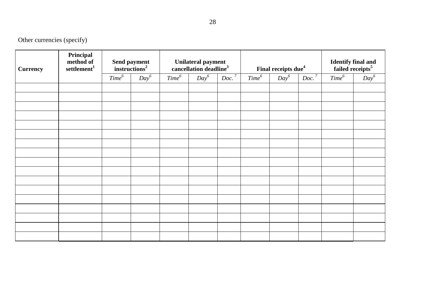Other currencies (specify)

| <b>Currency</b> | Principal<br>method of<br>settlement <sup>1</sup> | Send payment<br>instructions <sup>2</sup> |         |                   | Unilateral payment<br>cancellation deadline <sup>3</sup> |                   | Final receipts due <sup>4</sup> |         |                   | Identify final and<br>failed receipts <sup>5</sup> |         |
|-----------------|---------------------------------------------------|-------------------------------------------|---------|-------------------|----------------------------------------------------------|-------------------|---------------------------------|---------|-------------------|----------------------------------------------------|---------|
|                 |                                                   | Time <sup>6</sup>                         | $Day^6$ | Time <sup>6</sup> | $Day^6$                                                  | Doc. <sup>7</sup> | Time <sup>6</sup>               | $Day^6$ | Doc. <sup>7</sup> | Time <sup>6</sup>                                  | $Day^6$ |
|                 |                                                   |                                           |         |                   |                                                          |                   |                                 |         |                   |                                                    |         |
|                 |                                                   |                                           |         |                   |                                                          |                   |                                 |         |                   |                                                    |         |
|                 |                                                   |                                           |         |                   |                                                          |                   |                                 |         |                   |                                                    |         |
|                 |                                                   |                                           |         |                   |                                                          |                   |                                 |         |                   |                                                    |         |
|                 |                                                   |                                           |         |                   |                                                          |                   |                                 |         |                   |                                                    |         |
|                 |                                                   |                                           |         |                   |                                                          |                   |                                 |         |                   |                                                    |         |
|                 |                                                   |                                           |         |                   |                                                          |                   |                                 |         |                   |                                                    |         |
|                 |                                                   |                                           |         |                   |                                                          |                   |                                 |         |                   |                                                    |         |
|                 |                                                   |                                           |         |                   |                                                          |                   |                                 |         |                   |                                                    |         |
|                 |                                                   |                                           |         |                   |                                                          |                   |                                 |         |                   |                                                    |         |
|                 |                                                   |                                           |         |                   |                                                          |                   |                                 |         |                   |                                                    |         |
|                 |                                                   |                                           |         |                   |                                                          |                   |                                 |         |                   |                                                    |         |
|                 |                                                   |                                           |         |                   |                                                          |                   |                                 |         |                   |                                                    |         |
|                 |                                                   |                                           |         |                   |                                                          |                   |                                 |         |                   |                                                    |         |
|                 |                                                   |                                           |         |                   |                                                          |                   |                                 |         |                   |                                                    |         |
|                 |                                                   |                                           |         |                   |                                                          |                   |                                 |         |                   |                                                    |         |
|                 |                                                   |                                           |         |                   |                                                          |                   |                                 |         |                   |                                                    |         |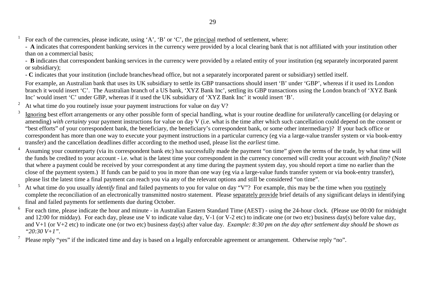- For each of the currencies, please indicate, using 'A', 'B' or 'C', the principal method of settlement, where:
- **A** indicates that correspondent banking services in the currency were provided by a local clearing bank that is not affiliated with your institution other than on a commercial basis;
- **B** indicates that correspondent banking services in the currency were provided by a related entity of your institution (eg separately incorporated parent or subsidiary);
- **C** indicates that your institution (include branches/head office, but not a separately incorporated parent or subsidiary) settled itself.
- For example, an Australian bank that uses its UK subsidiary to settle its GBP transactions should insert 'B' under 'GBP', whereas if it used its London branch it would insert 'C'. The Australian branch of a US bank, 'XYZ Bank Inc', settling its GBP transactions using the London branch of 'XYZ Bank Inc' would insert 'C' under GBP, whereas if it used the UK subsidiary of 'XYZ Bank Inc' it would insert 'B'.
- <sup>2</sup> At what time do you routinely issue your payment instructions for value on day V?
- <sup>3</sup> Ignoring best effort arrangements or any other possible form of special handling, what is your routine deadline for *unilaterally* cancelling (or delaying or amending) *with certainty* your payment instructions for value on day V (i.e. what is the time after which such cancellation could depend on the consent or "best efforts" of your correspondent bank, the beneficiary, the beneficiary's correspondent bank, or some other intermediary)? If your back office or correspondent has more than one way to execute your payment instructions in a particular currency (eg via a large-value transfer system or via book-entry transfer) and the cancellation deadlines differ according to the method used, please list the *earliest* time.
- Assuming your counterparty (via its correspondent bank etc) has successfully made the payment "on time" given the terms of the trade, by what time will the funds be credited to your account - i.e. what is the latest time your correspondent in the currency concerned will credit your account *with finality*? (Note that where a payment could be received by your correspondent at any time during the payment system day, you should report a time no earlier than the close of the payment system.) If funds can be paid to you in more than one way (eg via a large-value funds transfer system or via book-entry transfer), please list the latest time a final payment can reach you via any of the relevant options and still be considered "on time".
- <sup>5</sup> At what time do you usually *identify* final and failed payments to you for value on day "V"? For example, this may be the time when you routinely complete the reconciliation of an electronically transmitted nostro statement. Please separately provide brief details of any significant delays in identifying final and failed payments for settlements due during October.
- $6\degree$  For each time, please indicate the hour and minute in Australian Eastern Standard Time (AEST) using the 24-hour clock. (Please use 00:00 for midnight and 12:00 for midday). For each day, please use V to indicate value day, V-1 (or V-2 etc) to indicate one (or two etc) business day(s) before value day, and V+1 (or V+2 etc) to indicate one (or two etc) business day(s) after value day. *Example: 8:30 pm on the day after settlement day should be shown as "20:30 V+1"*.
- <sup>7</sup> Please reply "yes" if the indicated time and day is based on a legally enforceable agreement or arrangement. Otherwise reply "no".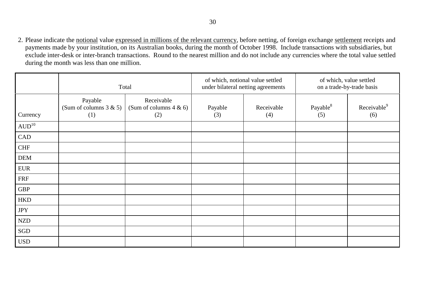2. Please indicate the notional value expressed in millions of the relevant currency, before netting, of foreign exchange settlement receipts and payments made by your institution, on its Australian books, during the month of October 1998. Include transactions with subsidiaries, but exclude inter-desk or inter-branch transactions. Round to the nearest million and do not include any currencies where the total value settled during the month was less than one million.

|                     |                                             | Total                                           |                | of which, notional value settled<br>under bilateral netting agreements | of which, value settled<br>on a trade-by-trade basis |                                |
|---------------------|---------------------------------------------|-------------------------------------------------|----------------|------------------------------------------------------------------------|------------------------------------------------------|--------------------------------|
| Currency            | Payable<br>(Sum of columns $3 & 5$ )<br>(1) | Receivable<br>(Sum of columns $4 \& 6$ )<br>(2) | Payable<br>(3) | Receivable<br>(4)                                                      | Payable <sup>8</sup><br>(5)                          | Receivable <sup>9</sup><br>(6) |
| $\mathrm{AUD}^{10}$ |                                             |                                                 |                |                                                                        |                                                      |                                |
| CAD                 |                                             |                                                 |                |                                                                        |                                                      |                                |
| <b>CHF</b>          |                                             |                                                 |                |                                                                        |                                                      |                                |
| <b>DEM</b>          |                                             |                                                 |                |                                                                        |                                                      |                                |
| <b>EUR</b>          |                                             |                                                 |                |                                                                        |                                                      |                                |
| <b>FRF</b>          |                                             |                                                 |                |                                                                        |                                                      |                                |
| <b>GBP</b>          |                                             |                                                 |                |                                                                        |                                                      |                                |
| <b>HKD</b>          |                                             |                                                 |                |                                                                        |                                                      |                                |
| <b>JPY</b>          |                                             |                                                 |                |                                                                        |                                                      |                                |
| <b>NZD</b>          |                                             |                                                 |                |                                                                        |                                                      |                                |
| SGD                 |                                             |                                                 |                |                                                                        |                                                      |                                |
| <b>USD</b>          |                                             |                                                 |                |                                                                        |                                                      |                                |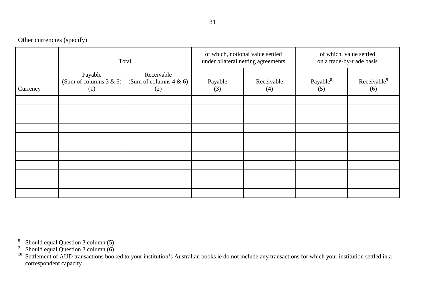31

Other currencies (specify)

|          |                                             | Total                                           |                | of which, notional value settled<br>under bilateral netting agreements | of which, value settled<br>on a trade-by-trade basis |                                |
|----------|---------------------------------------------|-------------------------------------------------|----------------|------------------------------------------------------------------------|------------------------------------------------------|--------------------------------|
| Currency | Payable<br>(Sum of columns $3 & 5$ )<br>(1) | Receivable<br>(Sum of columns $4 \& 6$ )<br>(2) | Payable<br>(3) | Receivable<br>(4)                                                      | Payable <sup>8</sup><br>(5)                          | Receivable <sup>9</sup><br>(6) |
|          |                                             |                                                 |                |                                                                        |                                                      |                                |
|          |                                             |                                                 |                |                                                                        |                                                      |                                |
|          |                                             |                                                 |                |                                                                        |                                                      |                                |
|          |                                             |                                                 |                |                                                                        |                                                      |                                |
|          |                                             |                                                 |                |                                                                        |                                                      |                                |
|          |                                             |                                                 |                |                                                                        |                                                      |                                |
|          |                                             |                                                 |                |                                                                        |                                                      |                                |
|          |                                             |                                                 |                |                                                                        |                                                      |                                |
|          |                                             |                                                 |                |                                                                        |                                                      |                                |
|          |                                             |                                                 |                |                                                                        |                                                      |                                |
|          |                                             |                                                 |                |                                                                        |                                                      |                                |

<sup>8</sup> Should equal Question 3 column  $(5)$ 

<sup>9</sup> Should equal Question 3 column  $(6)$ 

 $10$  Settlement of AUD transactions booked to your institution's Australian books ie do not include any transactions for which your institution settled in a correspondent capacity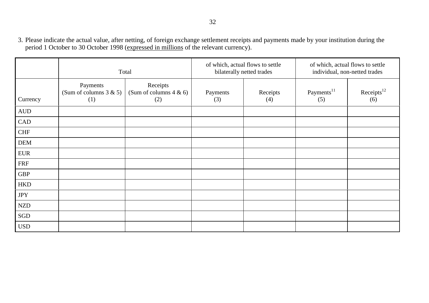3. Please indicate the actual value, after netting, of foreign exchange settlement receipts and payments made by your institution during the period 1 October to 30 October 1998 (expressed in millions of the relevant currency).

|                  |                                              | Total                                        |                 | of which, actual flows to settle<br>bilaterally netted trades | of which, actual flows to settle<br>individual, non-netted trades |                                 |
|------------------|----------------------------------------------|----------------------------------------------|-----------------|---------------------------------------------------------------|-------------------------------------------------------------------|---------------------------------|
| Currency         | Payments<br>(Sum of columns $3 & 5$ )<br>(1) | Receipts<br>(Sum of columns $4 & 6$ )<br>(2) | Payments<br>(3) | Receipts<br>(4)                                               | Payments <sup>11</sup><br>(5)                                     | $Receipts$ <sup>12</sup><br>(6) |
| $\mbox{\rm AUD}$ |                                              |                                              |                 |                                                               |                                                                   |                                 |
| CAD              |                                              |                                              |                 |                                                               |                                                                   |                                 |
| <b>CHF</b>       |                                              |                                              |                 |                                                               |                                                                   |                                 |
| <b>DEM</b>       |                                              |                                              |                 |                                                               |                                                                   |                                 |
| <b>EUR</b>       |                                              |                                              |                 |                                                               |                                                                   |                                 |
| <b>FRF</b>       |                                              |                                              |                 |                                                               |                                                                   |                                 |
| <b>GBP</b>       |                                              |                                              |                 |                                                               |                                                                   |                                 |
| <b>HKD</b>       |                                              |                                              |                 |                                                               |                                                                   |                                 |
| <b>JPY</b>       |                                              |                                              |                 |                                                               |                                                                   |                                 |
| <b>NZD</b>       |                                              |                                              |                 |                                                               |                                                                   |                                 |
| SGD              |                                              |                                              |                 |                                                               |                                                                   |                                 |
| <b>USD</b>       |                                              |                                              |                 |                                                               |                                                                   |                                 |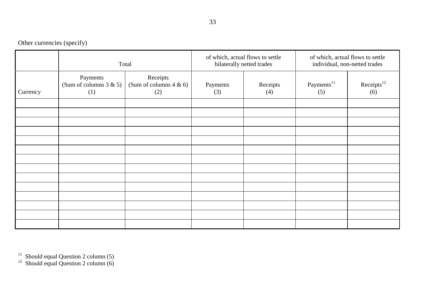33

Other currencies (specify)

|          |                                                                                               | Total |                 | of which, actual flows to settle<br>bilaterally netted trades | of which, actual flows to settle<br>individual, non-netted trades |                               |
|----------|-----------------------------------------------------------------------------------------------|-------|-----------------|---------------------------------------------------------------|-------------------------------------------------------------------|-------------------------------|
| Currency | Payments<br>Receipts<br>(Sum of columns $3 & 5$ )<br>(Sum of columns $4 \& 6$ )<br>(1)<br>(2) |       | Payments<br>(3) | Receipts<br>(4)                                               | Payments <sup>11</sup><br>(5)                                     | Receipts <sup>12</sup><br>(6) |
|          |                                                                                               |       |                 |                                                               |                                                                   |                               |
|          |                                                                                               |       |                 |                                                               |                                                                   |                               |
|          |                                                                                               |       |                 |                                                               |                                                                   |                               |
|          |                                                                                               |       |                 |                                                               |                                                                   |                               |
|          |                                                                                               |       |                 |                                                               |                                                                   |                               |
|          |                                                                                               |       |                 |                                                               |                                                                   |                               |
|          |                                                                                               |       |                 |                                                               |                                                                   |                               |
|          |                                                                                               |       |                 |                                                               |                                                                   |                               |

 $11$  Should equal Question 2 column (5)

 $12$  Should equal Question 2 column (6)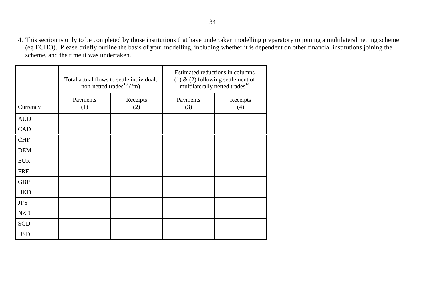4. This section is only to be completed by those institutions that have undertaken modelling preparatory to joining a multilateral netting scheme (eg ECHO). Please briefly outline the basis of your modelling, including whether it is dependent on other financial institutions joining the scheme, and the time it was undertaken.

|            | Total actual flows to settle individual,<br>non-netted trades <sup>13</sup> ('m) |  | Estimated reductions in columns<br>$(1)$ & $(2)$ following settlement of<br>multilaterally netted trades <sup>14</sup> |                 |  |
|------------|----------------------------------------------------------------------------------|--|------------------------------------------------------------------------------------------------------------------------|-----------------|--|
| Currency   | Receipts<br>Payments<br>(1)<br>(2)                                               |  | Payments<br>(3)                                                                                                        | Receipts<br>(4) |  |
| <b>AUD</b> |                                                                                  |  |                                                                                                                        |                 |  |
| <b>CAD</b> |                                                                                  |  |                                                                                                                        |                 |  |
| <b>CHF</b> |                                                                                  |  |                                                                                                                        |                 |  |
| <b>DEM</b> |                                                                                  |  |                                                                                                                        |                 |  |
| <b>EUR</b> |                                                                                  |  |                                                                                                                        |                 |  |
| <b>FRF</b> |                                                                                  |  |                                                                                                                        |                 |  |
| <b>GBP</b> |                                                                                  |  |                                                                                                                        |                 |  |
| <b>HKD</b> |                                                                                  |  |                                                                                                                        |                 |  |
| <b>JPY</b> |                                                                                  |  |                                                                                                                        |                 |  |
| <b>NZD</b> |                                                                                  |  |                                                                                                                        |                 |  |
| SGD        |                                                                                  |  |                                                                                                                        |                 |  |
| <b>USD</b> |                                                                                  |  |                                                                                                                        |                 |  |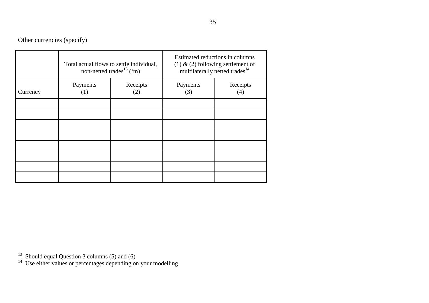Other currencies (specify)

|          |                                    | Total actual flows to settle individual,<br>non-netted trades <sup>13</sup> ('m) | Estimated reductions in columns<br>(1) & (2) following settlement of<br>multilaterally netted trades <sup>14</sup> |                 |  |
|----------|------------------------------------|----------------------------------------------------------------------------------|--------------------------------------------------------------------------------------------------------------------|-----------------|--|
| Currency | Receipts<br>Payments<br>(2)<br>(1) |                                                                                  | Payments<br>(3)                                                                                                    | Receipts<br>(4) |  |
|          |                                    |                                                                                  |                                                                                                                    |                 |  |
|          |                                    |                                                                                  |                                                                                                                    |                 |  |
|          |                                    |                                                                                  |                                                                                                                    |                 |  |
|          |                                    |                                                                                  |                                                                                                                    |                 |  |
|          |                                    |                                                                                  |                                                                                                                    |                 |  |

 $13$  Should equal Question 3 columns (5) and (6)

 $14$  Use either values or percentages depending on your modelling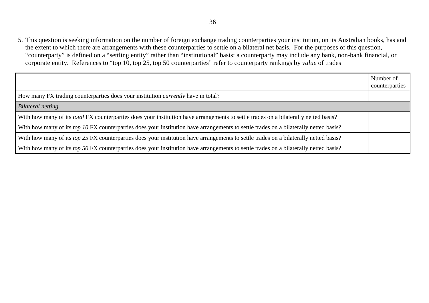5. This question is seeking information on the number of foreign exchange trading counterparties your institution, on its Australian books, has and the extent to which there are arrangements with these counterparties to settle on a bilateral net basis. For the purposes of this question, "counterparty" is defined on a "settling entity" rather than "institutional" basis; a counterparty may include any bank, non-bank financial, or corporate entity. References to "top 10, top 25, top 50 counterparties" refer to counterparty rankings by *value* of trades

|                                                                                                                                             | Number of<br>counterparties |
|---------------------------------------------------------------------------------------------------------------------------------------------|-----------------------------|
| How many FX trading counterparties does your institution <i>currently</i> have in total?                                                    |                             |
| <b>Bilateral netting</b>                                                                                                                    |                             |
| With how many of its <i>total</i> FX counterparties does your institution have arrangements to settle trades on a bilaterally netted basis? |                             |
| With how many of its top 10 FX counterparties does your institution have arrangements to settle trades on a bilaterally netted basis?       |                             |
| With how many of its top 25 FX counterparties does your institution have arrangements to settle trades on a bilaterally netted basis?       |                             |
| With how many of its top 50 FX counterparties does your institution have arrangements to settle trades on a bilaterally netted basis?       |                             |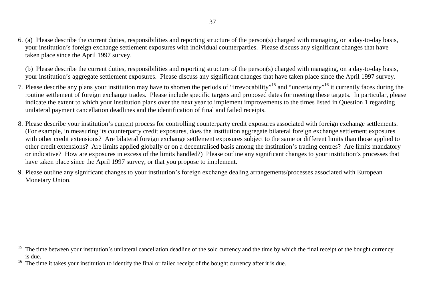6. (a) Please describe the current duties, responsibilities and reporting structure of the person(s) charged with managing, on a day-to-day basis, your institution's foreign exchange settlement exposures with individual counterparties. Please discuss any significant changes that have taken place since the April 1997 survey.

(b) Please describe the current duties, responsibilities and reporting structure of the person(s) charged with managing, on a day-to-day basis, your institution's aggregate settlement exposures. Please discuss any significant changes that have taken place since the April 1997 survey.

- 7. Please describe any plans your institution may have to shorten the periods of "irrevocability"<sup>15</sup> and "uncertainty"<sup>16</sup> it currently faces during the routine settlement of foreign exchange trades. Please include specific targets and proposed dates for meeting these targets. In particular, please indicate the extent to which your institution plans over the next year to implement improvements to the times listed in Question 1 regarding unilateral payment cancellation deadlines and the identification of final and failed receipts.
- 8. Please describe your institution's current process for controlling counterparty credit exposures associated with foreign exchange settlements. (For example, in measuring its counterparty credit exposures, does the institution aggregate bilateral foreign exchange settlement exposures with other credit extensions? Are bilateral foreign exchange settlement exposures subject to the same or different limits than those applied to other credit extensions? Are limits applied globally or on a decentralised basis among the institution's trading centres? Are limits mandatory or indicative? How are exposures in excess of the limits handled?) Please outline any significant changes to your institution's processes that have taken place since the April 1997 survey, or that you propose to implement.
- 9. Please outline any significant changes to your institution's foreign exchange dealing arrangements/processes associated with European Monetary Union.

<sup>&</sup>lt;sup>15</sup> The time between your institution's unilateral cancellation deadline of the sold currency and the time by which the final receipt of the bought currency is due.

 $16$  The time it takes your institution to identify the final or failed receipt of the bought currency after it is due.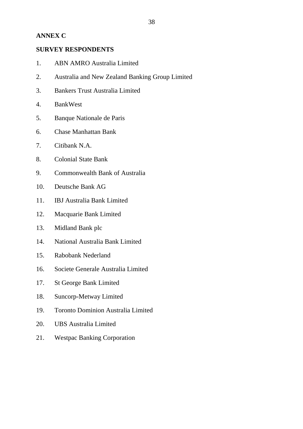#### **ANNEX C**

#### **SURVEY RESPONDENTS**

- 1. ABN AMRO Australia Limited
- 2. Australia and New Zealand Banking Group Limited
- 3. Bankers Trust Australia Limited
- 4. BankWest
- 5. Banque Nationale de Paris
- 6. Chase Manhattan Bank
- 7. Citibank N.A.
- 8. Colonial State Bank
- 9. Commonwealth Bank of Australia
- 10. Deutsche Bank AG
- 11. IBJ Australia Bank Limited
- 12. Macquarie Bank Limited
- 13. Midland Bank plc
- 14. National Australia Bank Limited
- 15. Rabobank Nederland
- 16. Societe Generale Australia Limited
- 17. St George Bank Limited
- 18. Suncorp-Metway Limited
- 19. Toronto Dominion Australia Limited
- 20. UBS Australia Limited
- 21. Westpac Banking Corporation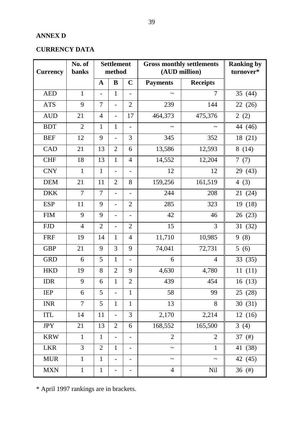# **ANNEX D**

# **CURRENCY DATA**

| <b>Currency</b> | No. of<br>banks | <b>Settlement</b><br>method |                          |                          | <b>Gross monthly settlements</b><br>(AUD million) |                 | <b>Ranking by</b><br>turnover* |
|-----------------|-----------------|-----------------------------|--------------------------|--------------------------|---------------------------------------------------|-----------------|--------------------------------|
|                 |                 | $\mathbf A$                 | B                        | $\mathbf C$              | <b>Payments</b>                                   | <b>Receipts</b> |                                |
| <b>AED</b>      | $\mathbf{1}$    |                             | $\mathbf{1}$             | $\overline{\phantom{0}}$ |                                                   | 7               | 35 $(44)$                      |
| <b>ATS</b>      | 9               | $\tau$                      | $\overline{a}$           | $\overline{2}$           | 239                                               | 144             | 22 (26)                        |
| <b>AUD</b>      | 21              | $\overline{4}$              | $\overline{a}$           | 17                       | 464,373                                           | 475,376         | 2(2)                           |
| <b>BDT</b>      | $\overline{2}$  | $\mathbf{1}$                | $\mathbf{1}$             | $\blacksquare$           | $\tilde{\phantom{a}}$                             | $\thicksim$     | 44 (46)                        |
| <b>BEF</b>      | 12              | 9                           | $\overline{\phantom{0}}$ | 3                        | 345                                               | 352             | 18 (21)                        |
| <b>CAD</b>      | 21              | 13                          | $\overline{2}$           | 6                        | 13,586                                            | 12,593          | 8(14)                          |
| <b>CHF</b>      | 18              | 13                          | $\mathbf{1}$             | $\overline{4}$           | 14,552                                            | 12,204          | 7(7)                           |
| <b>CNY</b>      | $\mathbf{1}$    | $\mathbf{1}$                |                          | -                        | 12                                                | 12              | 29 (43)                        |
| <b>DEM</b>      | 21              | 11                          | $\overline{2}$           | 8                        | 159,256                                           | 161,519         | 4 $(3)$                        |
| <b>DKK</b>      | $\overline{7}$  | $\overline{7}$              | $\overline{\phantom{a}}$ | $\overline{\phantom{a}}$ | 244                                               | 208             | 21(24)                         |
| <b>ESP</b>      | 11              | 9                           | $\overline{a}$           | $\overline{2}$           | 285                                               | 323             | 19 (18)                        |
| <b>FIM</b>      | 9               | 9                           | $\overline{\phantom{0}}$ | $\overline{\phantom{a}}$ | 42                                                | 46              | 26(23)                         |
| <b>FJD</b>      | $\overline{4}$  | $\overline{2}$              | $\qquad \qquad -$        | $\overline{2}$           | 15                                                | 3               | 31(32)                         |
| <b>FRF</b>      | 19              | 14                          | $\mathbf{1}$             | $\overline{4}$           | 11,710                                            | 10,985          | 9(8)                           |
| <b>GBP</b>      | 21              | 9                           | 3                        | 9                        | 74,041                                            | 72,731          | 5(6)                           |
| <b>GRD</b>      | 6               | 5                           | $\mathbf{1}$             | $\overline{\phantom{a}}$ | 6                                                 | $\overline{4}$  | 33(35)                         |
| <b>HKD</b>      | 19              | 8                           | $\overline{2}$           | 9                        | 4,630                                             | 4,780           | 11(11)                         |
| <b>IDR</b>      | 9               | 6                           | $\mathbf{1}$             | $\overline{2}$           | 439                                               | 454             | 16(13)                         |
| <b>IEP</b>      | 6               | 5                           |                          | $\mathbf{1}$             | 58                                                | 99              | 25 (28)                        |
| <b>INR</b>      | $\overline{7}$  | 5                           | $\mathbf{1}$             | $\mathbf{1}$             | 13                                                | 8               | 30(31)                         |
| <b>ITL</b>      | 14              | $11\,$                      |                          | 3                        | 2,170                                             | 2,214           | 12(16)                         |
| <b>JPY</b>      | 21              | 13                          | $\overline{2}$           | 6                        | 168,552                                           | 165,500         | 3(4)                           |
| <b>KRW</b>      | $\mathbf{1}$    | $\mathbf{1}$                | $\overline{\phantom{0}}$ | $\overline{\phantom{0}}$ | $\overline{2}$                                    | $\overline{2}$  | 37 $(f# )$                     |
| <b>LKR</b>      | $\overline{3}$  | $\overline{2}$              | $\mathbf{1}$             | $\overline{\phantom{a}}$ | $\tilde{\phantom{a}}$                             | $\mathbf{1}$    | 41 (38)                        |
| <b>MUR</b>      | $\mathbf{1}$    | $\mathbf{1}$                | $\overline{\phantom{0}}$ | $\overline{\phantom{a}}$ | $\tilde{}$                                        | $\thicksim$     | 42 (45)                        |
| <b>MXN</b>      | $\mathbf{1}$    | $\mathbf 1$                 | -                        |                          | $\overline{4}$                                    | <b>Nil</b>      | 36 (#)                         |

\* April 1997 rankings are in brackets.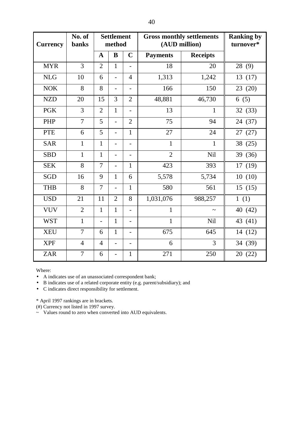| <b>Currency</b> | No. of<br>banks |                | <b>Settlement</b><br>method |                          |                 | <b>Gross monthly settlements</b><br>(AUD million) | <b>Ranking by</b><br>turnover* |
|-----------------|-----------------|----------------|-----------------------------|--------------------------|-----------------|---------------------------------------------------|--------------------------------|
|                 |                 | $\mathbf A$    | B                           | $\mathbf C$              | <b>Payments</b> | <b>Receipts</b>                                   |                                |
| <b>MYR</b>      | $\overline{3}$  | $\overline{2}$ | $\mathbf{1}$                | $\blacksquare$           | 18              | 20                                                | 28 (9)                         |
| <b>NLG</b>      | 10              | 6              | $\overline{a}$              | $\overline{4}$           | 1,313           | 1,242                                             | 13(17)                         |
| <b>NOK</b>      | 8               | 8              | $\overline{\phantom{a}}$    | $\overline{\phantom{a}}$ | 166             | 150                                               | 23(20)                         |
| <b>NZD</b>      | 20              | 15             | 3                           | $\overline{2}$           | 48,881          | 46,730                                            | 6(5)                           |
| <b>PGK</b>      | 3               | $\overline{2}$ | $\mathbf{1}$                | $\blacksquare$           | 13              | $\mathbf{1}$                                      | 32(33)                         |
| PHP             | $\overline{7}$  | 5              | $\frac{1}{2}$               | $\overline{2}$           | 75              | 94                                                | 24 (37)                        |
| <b>PTE</b>      | 6               | 5              | $\overline{\phantom{0}}$    | $\mathbf{1}$             | 27              | 24                                                | 27<br>(27)                     |
| <b>SAR</b>      | $\mathbf{1}$    | $\mathbf{1}$   | $\overline{\phantom{0}}$    | $\blacksquare$           | $\mathbf{1}$    | $\mathbf{1}$                                      | 38 (25)                        |
| <b>SBD</b>      | $\mathbf{1}$    | $\mathbf{1}$   | $\overline{\phantom{0}}$    | $\overline{\phantom{a}}$ | $\overline{2}$  | <b>Nil</b>                                        | 39 (36)                        |
| <b>SEK</b>      | 8               | $\overline{7}$ | $\overline{a}$              | $\mathbf{1}$             | 423             | 393                                               | 17(19)                         |
| SGD             | 16              | 9              | $\mathbf{1}$                | 6                        | 5,578           | 5,734                                             | 10(10)                         |
| <b>THB</b>      | 8               | $\overline{7}$ | $\overline{\phantom{0}}$    | 1                        | 580             | 561                                               | 15(15)                         |
| <b>USD</b>      | 21              | 11             | $\overline{2}$              | 8                        | 1,031,076       | 988,257                                           | 1(1)                           |
| <b>VUV</b>      | $\overline{2}$  | $\mathbf{1}$   | $\mathbf{1}$                | $\blacksquare$           | $\mathbf{1}$    | $\tilde{}$                                        | 40 (42)                        |
| <b>WST</b>      | $\mathbf{1}$    | $\frac{1}{2}$  | $\mathbf 1$                 | $\overline{\phantom{a}}$ | $\mathbf{1}$    | <b>Nil</b>                                        | 43 (41)                        |
| <b>XEU</b>      | $\overline{7}$  | 6              | $\mathbf{1}$                | $\overline{\phantom{a}}$ | 675             | 645                                               | 14 (12)                        |
| <b>XPF</b>      | $\overline{4}$  | $\overline{4}$ | $\overline{\phantom{0}}$    |                          | 6               | 3                                                 | 34 (39)                        |
| <b>ZAR</b>      | 7               | 6              | L,                          | $\mathbf{1}$             | 271             | 250                                               | 20(22)                         |

Where:

• A indicates use of an unassociated correspondent bank;

• B indicates use of a related corporate entity (e.g. parent/subsidiary); and

• C indicates direct responsibility for settlement.

\* April 1997 rankings are in brackets.

(#) Currency not listed in 1997 survey.

~ Values round to zero when converted into AUD equivalents.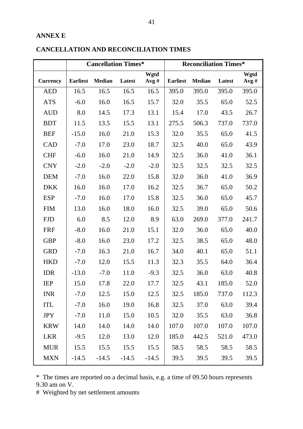#### **ANNEX E**

|                 |                 | <b>Cancellation Times*</b> |         |              | <b>Reconciliation Times*</b> |               |        |              |
|-----------------|-----------------|----------------------------|---------|--------------|------------------------------|---------------|--------|--------------|
| <b>Currency</b> | <b>Earliest</b> | <b>Median</b>              | Latest  | Wgtd<br>Avg# | <b>Earliest</b>              | <b>Median</b> | Latest | Wgtd<br>Avg# |
| <b>AED</b>      | 16.5            | 16.5                       | 16.5    | 16.5         | 395.0                        | 395.0         | 395.0  | 395.0        |
| <b>ATS</b>      | $-6.0$          | 16.0                       | 16.5    | 15.7         | 32.0                         | 35.5          | 65.0   | 52.5         |
| <b>AUD</b>      | 8.0             | 14.5                       | 17.3    | 13.1         | 15.4                         | 17.0          | 43.5   | 26.7         |
| <b>BDT</b>      | 11.5            | 13.5                       | 15.5    | 13.1         | 275.5                        | 506.3         | 737.0  | 737.0        |
| <b>BEF</b>      | $-15.0$         | 16.0                       | 21.0    | 15.3         | 32.0                         | 35.5          | 65.0   | 41.5         |
| CAD             | $-7.0$          | 17.0                       | 23.0    | 18.7         | 32.5                         | 40.0          | 65.0   | 43.9         |
| <b>CHF</b>      | $-6.0$          | 16.0                       | 21.0    | 14.9         | 32.5                         | 36.0          | 41.0   | 36.1         |
| <b>CNY</b>      | $-2.0$          | $-2.0$                     | $-2.0$  | $-2.0$       | 32.5                         | 32.5          | 32.5   | 32.5         |
| <b>DEM</b>      | $-7.0$          | 16.0                       | 22.0    | 15.8         | 32.0                         | 36.0          | 41.0   | 36.9         |
| <b>DKK</b>      | 16.0            | 16.0                       | 17.0    | 16.2         | 32.5                         | 36.7          | 65.0   | 50.2         |
| <b>ESP</b>      | $-7.0$          | 16.0                       | 17.0    | 15.8         | 32.5                         | 36.0          | 65.0   | 45.7         |
| <b>FIM</b>      | 13.0            | 16.0                       | 18.0    | 16.0         | 32.5                         | 39.0          | 65.0   | 50.6         |
| <b>FJD</b>      | 6.0             | 8.5                        | 12.0    | 8.9          | 63.0                         | 269.0         | 377.0  | 241.7        |
| <b>FRF</b>      | $-8.0$          | 16.0                       | 21.0    | 15.1         | 32.0                         | 36.0          | 65.0   | 40.0         |
| <b>GBP</b>      | $-8.0$          | 16.0                       | 23.0    | 17.2         | 32.5                         | 38.5          | 65.0   | 48.0         |
| <b>GRD</b>      | $-7.0$          | 16.3                       | 21.0    | 16.7         | 34.0                         | 40.1          | 65.0   | 51.1         |
| <b>HKD</b>      | $-7.0$          | 12.0                       | 15.5    | 11.3         | 32.3                         | 35.5          | 64.0   | 36.4         |
| <b>IDR</b>      | $-13.0$         | $-7.0$                     | 11.0    | $-9.3$       | 32.5                         | 36.0          | 63.0   | 40.8         |
| <b>IEP</b>      | 15.0            | 17.8                       | 22.0    | 17.7         | 32.5                         | 43.1          | 185.0  | 52.0         |
| <b>INR</b>      | $-7.0$          | 12.5                       | 15.0    | 12.5         | 32.5                         | 185.0         | 737.0  | 112.3        |
| <b>ITL</b>      | $-7.0$          | 16.0                       | 19.0    | 16.8         | 32.5                         | 37.0          | 63.0   | 39.4         |
| <b>JPY</b>      | $-7.0$          | 11.0                       | 15.0    | 10.5         | 32.0                         | 35.5          | 63.0   | 36.8         |
| <b>KRW</b>      | 14.0            | 14.0                       | 14.0    | 14.0         | 107.0                        | 107.0         | 107.0  | 107.0        |
| <b>LKR</b>      | $-9.5$          | 12.0                       | 13.0    | 12.0         | 185.0                        | 442.5         | 521.0  | 473.0        |
| <b>MUR</b>      | 15.5            | 15.5                       | 15.5    | 15.5         | 58.5                         | 58.5          | 58.5   | 58.5         |
| <b>MXN</b>      | $-14.5$         | $-14.5$                    | $-14.5$ | $-14.5$      | 39.5                         | 39.5          | 39.5   | 39.5         |

# **CANCELLATION AND RECONCILIATION TIMES**

\* The times are reported on a decimal basis, e.g. a time of 09.50 hours represents 9.30 am on V.

# Weighted by net settlement amounts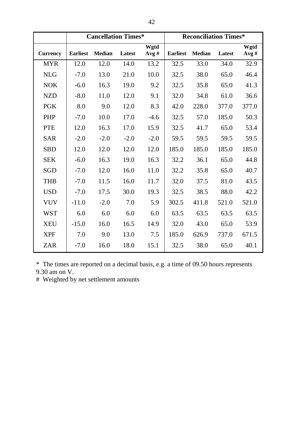|                 |                 | <b>Cancellation Times*</b> |        |              | <b>Reconciliation Times*</b> |               |        |              |
|-----------------|-----------------|----------------------------|--------|--------------|------------------------------|---------------|--------|--------------|
| <b>Currency</b> | <b>Earliest</b> | <b>Median</b>              | Latest | Wgtd<br>Avg# | <b>Earliest</b>              | <b>Median</b> | Latest | Wgtd<br>Avg# |
| <b>MYR</b>      | 12.0            | 12.0                       | 14.0   | 13.2         | 32.5                         | 33.0          | 34.0   | 32.9         |
| <b>NLG</b>      | $-7.0$          | 13.0                       | 21.0   | 10.0         | 32.5                         | 38.0          | 65.0   | 46.4         |
| <b>NOK</b>      | $-6.0$          | 16.3                       | 19.0   | 9.2          | 32.5                         | 35.8          | 65.0   | 41.3         |
| <b>NZD</b>      | $-8.0$          | 11.0                       | 12.0   | 9.1          | 32.0                         | 34.8          | 61.0   | 36.6         |
| <b>PGK</b>      | 8.0             | 9.0                        | 12.0   | 8.3          | 42.0                         | 228.0         | 377.0  | 377.0        |
| <b>PHP</b>      | $-7.0$          | 10.0                       | 17.0   | $-4.6$       | 32.5                         | 57.0          | 185.0  | 50.3         |
| <b>PTE</b>      | 12.0            | 16.3                       | 17.0   | 15.9         | 32.5                         | 41.7          | 65.0   | 53.4         |
| <b>SAR</b>      | $-2.0$          | $-2.0$                     | $-2.0$ | $-2.0$       | 59.5                         | 59.5          | 59.5   | 59.5         |
| <b>SBD</b>      | 12.0            | 12.0                       | 12.0   | 12.0         | 185.0                        | 185.0         | 185.0  | 185.0        |
| <b>SEK</b>      | $-6.0$          | 16.3                       | 19.0   | 16.3         | 32.2                         | 36.1          | 65.0   | 44.8         |
| <b>SGD</b>      | $-7.0$          | 12.0                       | 16.0   | 11.0         | 32.2                         | 35.8          | 65.0   | 40.7         |
| <b>THB</b>      | $-7.0$          | 11.5                       | 16.0   | 11.7         | 32.0                         | 37.5          | 81.0   | 43.5         |
| <b>USD</b>      | $-7.0$          | 17.5                       | 30.0   | 19.3         | 32.5                         | 38.5          | 88.0   | 42.2         |
| <b>VUV</b>      | $-11.0$         | $-2.0$                     | 7.0    | 5.9          | 302.5                        | 411.8         | 521.0  | 521.0        |
| <b>WST</b>      | 6.0             | 6.0                        | 6.0    | 6.0          | 63.5                         | 63.5          | 63.5   | 63.5         |
| <b>XEU</b>      | $-15.0$         | 16.0                       | 16.5   | 14.9         | 32.0                         | 43.0          | 65.0   | 53.9         |
| <b>XPF</b>      | 7.0             | 9.0                        | 13.0   | 7.5          | 185.0                        | 626.9         | 737.0  | 671.5        |
| <b>ZAR</b>      | $-7.0$          | 16.0                       | 18.0   | 15.1         | 32.5                         | 38.0          | 65.0   | 40.1         |

\* The times are reported on a decimal basis, e.g. a time of 09.50 hours represents 9.30 am on V.

# Weighted by net settlement amounts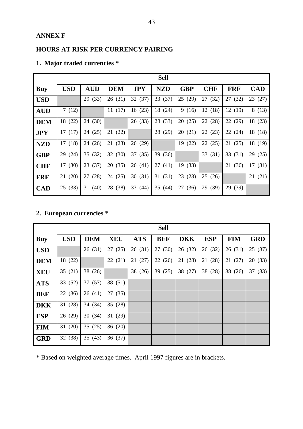#### **ANNEX F**

# **HOURS AT RISK PER CURRENCY PAIRING**

|            |            |            |            |            | <b>Sell</b> |            |            |            |            |
|------------|------------|------------|------------|------------|-------------|------------|------------|------------|------------|
| <b>Buy</b> | <b>USD</b> | <b>AUD</b> | <b>DEM</b> | <b>JPY</b> | <b>NZD</b>  | <b>GBP</b> | <b>CHF</b> | <b>FRF</b> | <b>CAD</b> |
| <b>USD</b> |            | 29 (33)    | 26(31)     | 32(37)     | 33 (37)     | 25 (29)    | 27 (32)    | 27 (32)    | 23(27)     |
| <b>AUD</b> | 7(12)      |            | 11(17)     | 16(23)     | 18 (24)     | 9<br>(16)  | 12(18)     | 12(19)     | 8(13)      |
| <b>DEM</b> | (22)<br>18 | 24 (30)    |            | 26(33)     | 28 (33)     | 20(25)     | 22 (28)    | 22<br>(29) | 18 (23)    |
| <b>JPY</b> | 17(17)     | (25)<br>24 | 21(22)     |            | (29)<br>28  | (21)<br>20 | 22<br>(23) | 22 (24)    | 18 (18)    |
| <b>NZD</b> | 17(18)     | 24 (26)    | 21(23)     | 26(29)     |             | 19 (22)    | 22(25)     | 21(25)     | 18 (19)    |
| <b>GBP</b> | 29<br>(24) | 35 (32)    | 32(30)     | 37(35)     | 39 (36)     |            | 33 (31)    | 33(31)     | 29(25)     |
| <b>CHF</b> | (30)<br>17 | (37)<br>23 | 20(35)     | 26(41)     | 27(41)      | 19 (33)    |            | (36)<br>21 | 17(31)     |
| <b>FRF</b> | (20)<br>21 | (28)<br>27 | 24 (25)    | 30(31)     | 31(31)      | (23)<br>23 | 25(26)     |            | 21(21)     |
| <b>CAD</b> | (33)<br>25 | (40)<br>31 | 28 (38)    | 33 (44)    | 35<br>(44)  | (36)<br>27 | 29 (39)    | (39)<br>29 |            |

# **1. Major traded currencies \***

# **2. European currencies \***

|            |            |            |            |            | <b>Sell</b> |            |            |            |            |
|------------|------------|------------|------------|------------|-------------|------------|------------|------------|------------|
| <b>Buy</b> | <b>USD</b> | <b>DEM</b> | <b>XEU</b> | <b>ATS</b> | <b>BEF</b>  | <b>DKK</b> | <b>ESP</b> | <b>FIM</b> | <b>GRD</b> |
| <b>USD</b> |            | 26(31)     | 27(25)     | 26(31)     | 27(30)      | 26 (32)    | 26(32)     | 26(31)     | 25(37)     |
| <b>DEM</b> | 18 (22)    |            | 22(21)     | 21(27)     | 22(26)      | (28)<br>21 | (28)<br>21 | 21(27)     | 20(33)     |
| <b>XEU</b> | 35(21)     | 38 (26)    |            | 38 (26)    | 39 (25)     | 38 (27)    | 38 (28)    | 38 (26)    | 37 (33)    |
| <b>ATS</b> | 33 (52)    | 37(57)     | 38 (51)    |            |             |            |            |            |            |
| <b>BEF</b> | 22 (36)    | 26(41)     | 27(35)     |            |             |            |            |            |            |
| <b>DKK</b> | 31(28)     | 34 (34)    | 35(28)     |            |             |            |            |            |            |
| <b>ESP</b> | 26 (29)    | 30(34)     | 31 (29)    |            |             |            |            |            |            |
| <b>FIM</b> | 31(20)     | 35(25)     | 36(20)     |            |             |            |            |            |            |
| <b>GRD</b> | 32 (38)    | 35(43)     | 36(37)     |            |             |            |            |            |            |

\* Based on weighted average times. April 1997 figures are in brackets.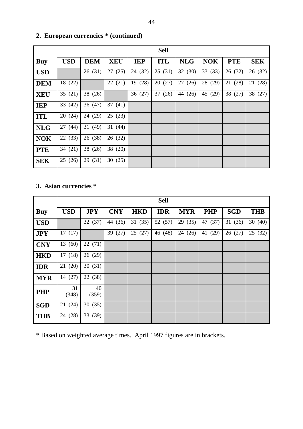|            |            |            |            |            | <b>Sell</b> |            |            |            |            |
|------------|------------|------------|------------|------------|-------------|------------|------------|------------|------------|
| <b>Buy</b> | <b>USD</b> | <b>DEM</b> | <b>XEU</b> | <b>IEP</b> | <b>ITL</b>  | <b>NLG</b> | <b>NOK</b> | <b>PTE</b> | <b>SEK</b> |
| <b>USD</b> |            | 26(31)     | 27(25)     | 24 (32)    | 25(31)      | 32(30)     | 33(33)     | 26(32)     | 26(32)     |
| <b>DEM</b> | 18 (22)    |            | 22(21)     | (28)<br>19 | 20(27)      | 27<br>(26) | 28 (29)    | 21 (28)    | 21 (28)    |
| <b>XEU</b> | 35(21)     | 38 (26)    |            | 36(27)     | 37<br>(26)  | 44<br>(26) | 45 (29)    | 38 (27)    | 38 (27)    |
| <b>IEP</b> | 33(42)     | 36(47)     | 37(41)     |            |             |            |            |            |            |
| <b>ITL</b> | 20(24)     | 24 (29)    | 25(23)     |            |             |            |            |            |            |
| <b>NLG</b> | 27(44)     | 31(49)     | 31(44)     |            |             |            |            |            |            |
| <b>NOK</b> | 22(33)     | 26 (38)    | 26 (32)    |            |             |            |            |            |            |
| <b>PTE</b> | 34(21)     | 38 (26)    | 38 (20)    |            |             |            |            |            |            |
| <b>SEK</b> | (26)<br>25 | 29 (31)    | 30(25)     |            |             |            |            |            |            |

# **2. European currencies \* (continued)**

# **3. Asian currencies \***

|            |             |             |            |            | <b>Sell</b> |            |            |            |            |
|------------|-------------|-------------|------------|------------|-------------|------------|------------|------------|------------|
| <b>Buy</b> | <b>USD</b>  | <b>JPY</b>  | <b>CNY</b> | <b>HKD</b> | <b>IDR</b>  | <b>MYR</b> | <b>PHP</b> | <b>SGD</b> | <b>THB</b> |
| <b>USD</b> |             | 32(37)      | 44 (36)    | 31(35)     | 52 (57)     | 29 (35)    | 47 (37)    | 31(36)     | 30(40)     |
| <b>JPY</b> | 17(17)      |             | 39(27)     | 25(27)     | 46 (48)     | 24 (26)    | 41 (29)    | 26(27)     | 25(32)     |
| <b>CNY</b> | 13 (60)     | 22(71)      |            |            |             |            |            |            |            |
| <b>HKD</b> | 17(18)      | 26(29)      |            |            |             |            |            |            |            |
| <b>IDR</b> | 21(20)      | 30(31)      |            |            |             |            |            |            |            |
| <b>MYR</b> | 14 (27)     | 22 (38)     |            |            |             |            |            |            |            |
| <b>PHP</b> | 31<br>(348) | 40<br>(359) |            |            |             |            |            |            |            |
| <b>SGD</b> | 21 (24)     | 30(35)      |            |            |             |            |            |            |            |
| <b>THB</b> | 24 (28)     | 33(39)      |            |            |             |            |            |            |            |

\* Based on weighted average times. April 1997 figures are in brackets.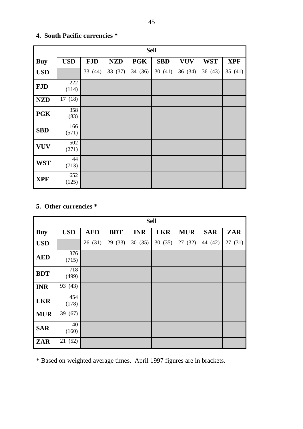|            |              |            |            | <b>Sell</b> |            |            |            |            |
|------------|--------------|------------|------------|-------------|------------|------------|------------|------------|
| <b>Buy</b> | <b>USD</b>   | <b>FJD</b> | <b>NZD</b> | <b>PGK</b>  | <b>SBD</b> | <b>VUV</b> | <b>WST</b> | <b>XPF</b> |
| <b>USD</b> |              | 33 (44)    | 33 (37)    | 34(36)      | 30(41)     | 36(34)     | 36(43)     | 35(41)     |
| <b>FJD</b> | 222<br>(114) |            |            |             |            |            |            |            |
| <b>NZD</b> | 17(18)       |            |            |             |            |            |            |            |
| <b>PGK</b> | 358<br>(83)  |            |            |             |            |            |            |            |
| <b>SBD</b> | 166<br>(571) |            |            |             |            |            |            |            |
| <b>VUV</b> | 502<br>(271) |            |            |             |            |            |            |            |
| <b>WST</b> | 44<br>(713)  |            |            |             |            |            |            |            |
| <b>XPF</b> | 652<br>(125) |            |            |             |            |            |            |            |

# **4. South Pacific currencies \***

# **5. Other currencies \***

|            |              |            |            | <b>Sell</b> |            |            |            |            |
|------------|--------------|------------|------------|-------------|------------|------------|------------|------------|
| <b>Buy</b> | <b>USD</b>   | <b>AED</b> | <b>BDT</b> | <b>INR</b>  | <b>LKR</b> | <b>MUR</b> | <b>SAR</b> | <b>ZAR</b> |
| <b>USD</b> |              | 26(31)     | 29 (33)    | 30(35)      | 30(35)     | 27 (32)    | 44 (42)    | 27(31)     |
| <b>AED</b> | 376<br>(715) |            |            |             |            |            |            |            |
| <b>BDT</b> | 718<br>(499) |            |            |             |            |            |            |            |
| <b>INR</b> | 93 (43)      |            |            |             |            |            |            |            |
| <b>LKR</b> | 454<br>(178) |            |            |             |            |            |            |            |
| <b>MUR</b> | 39 (67)      |            |            |             |            |            |            |            |
| <b>SAR</b> | 40<br>(160)  |            |            |             |            |            |            |            |
| <b>ZAR</b> | 21 (52)      |            |            |             |            |            |            |            |

\* Based on weighted average times. April 1997 figures are in brackets.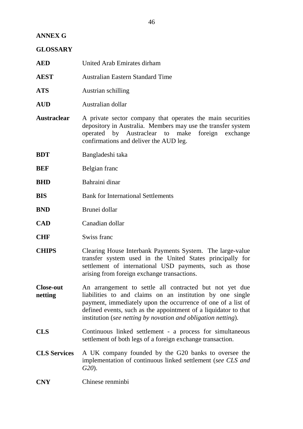# **ANNEX G**

## **GLOSSARY**

| <b>AED</b>                  | United Arab Emirates dirham                                                                                                                                                                                                                                                                                              |
|-----------------------------|--------------------------------------------------------------------------------------------------------------------------------------------------------------------------------------------------------------------------------------------------------------------------------------------------------------------------|
| AEST                        | <b>Australian Eastern Standard Time</b>                                                                                                                                                                                                                                                                                  |
| ATS                         | Austrian schilling                                                                                                                                                                                                                                                                                                       |
| <b>AUD</b>                  | Australian dollar                                                                                                                                                                                                                                                                                                        |
| <b>Austraclear</b>          | A private sector company that operates the main securities<br>depository in Australia. Members may use the transfer system<br>operated by Austraclear to make<br>foreign exchange<br>confirmations and deliver the AUD leg.                                                                                              |
| <b>BDT</b>                  | Bangladeshi taka                                                                                                                                                                                                                                                                                                         |
| BEF                         | Belgian franc                                                                                                                                                                                                                                                                                                            |
| BHD                         | Bahraini dinar                                                                                                                                                                                                                                                                                                           |
| BIS                         | <b>Bank for International Settlements</b>                                                                                                                                                                                                                                                                                |
| <b>BND</b>                  | Brunei dollar                                                                                                                                                                                                                                                                                                            |
| <b>CAD</b>                  | Canadian dollar                                                                                                                                                                                                                                                                                                          |
| <b>CHF</b>                  | Swiss franc                                                                                                                                                                                                                                                                                                              |
| <b>CHIPS</b>                | Clearing House Interbank Payments System. The large-value<br>transfer system used in the United States principally for<br>settlement of international USD payments, such as those<br>arising from foreign exchange transactions.                                                                                         |
| <b>Close-out</b><br>netting | An arrangement to settle all contracted but not yet due<br>liabilities to and claims on an institution by one single<br>payment, immediately upon the occurrence of one of a list of<br>defined events, such as the appointment of a liquidator to that<br>institution (see netting by novation and obligation netting). |
| <b>CLS</b>                  | Continuous linked settlement - a process for simultaneous<br>settlement of both legs of a foreign exchange transaction.                                                                                                                                                                                                  |
| <b>CLS Services</b>         | A UK company founded by the G20 banks to oversee the<br>implementation of continuous linked settlement (see CLS and<br>$G20$ ).                                                                                                                                                                                          |
| <b>CNY</b>                  | Chinese renminbi                                                                                                                                                                                                                                                                                                         |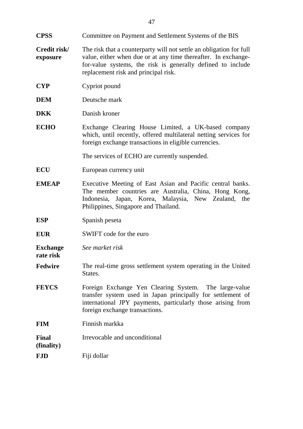- **CPSS** Committee on Payment and Settlement Systems of the BIS
- **Credit risk/ exposure** The risk that a counterparty will not settle an obligation for full value, either when due or at any time thereafter. In exchangefor-value systems, the risk is generally defined to include replacement risk and principal risk.
- **CYP** Cypriot pound
- **DEM** Deutsche mark
- **DKK** Danish kroner
- **ECHO** Exchange Clearing House Limited, a UK-based company which, until recently, offered multilateral netting services for foreign exchange transactions in eligible currencies.

The services of ECHO are currently suspended.

- **ECU** European currency unit
- **EMEAP** Executive Meeting of East Asian and Pacific central banks. The member countries are Australia, China, Hong Kong, Indonesia, Japan, Korea, Malaysia, New Zealand, the Philippines, Singapore and Thailand.
- **ESP** Spanish peseta
- **EUR** SWIFT code for the euro

**Exchange** *See market risk*

- **Fedwire** The real-time gross settlement system operating in the United States.
- **FEYCS** Foreign Exchange Yen Clearing System. The large-value transfer system used in Japan principally for settlement of international JPY payments, particularly those arising from foreign exchange transactions.
- **FIM** Finnish markka
- **Final** Irrevocable and unconditional

#### **(finality)**

**rate risk**

**FJD** Fiji dollar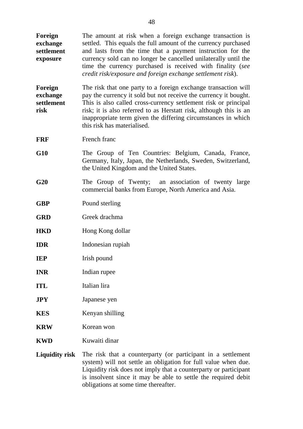**Foreign exchange settlement exposure** The amount at risk when a foreign exchange transaction is settled. This equals the full amount of the currency purchased and lasts from the time that a payment instruction for the currency sold can no longer be cancelled unilaterally until the time the currency purchased is received with finality (*see credit risk/exposure and foreign exchange settlement risk*). **Foreign exchange settlement risk** The risk that one party to a foreign exchange transaction will pay the currency it sold but not receive the currency it bought. This is also called cross-currency settlement risk or principal risk; it is also referred to as Herstatt risk, although this is an inappropriate term given the differing circumstances in which this risk has materialised. **FRF** French franc **G10** The Group of Ten Countries: Belgium, Canada, France, Germany, Italy, Japan, the Netherlands, Sweden, Switzerland, the United Kingdom and the United States. **G20** The Group of Twenty; an association of twenty large commercial banks from Europe, North America and Asia. **GBP** Pound sterling **GRD** Greek drachma **HKD** Hong Kong dollar **IDR** Indonesian rupiah **IEP** Irish pound **INR** Indian rupee **ITL** Italian lira **JPY** Japanese yen **KES** Kenyan shilling **KRW** Korean won **KWD** Kuwaiti dinar **Liquidity risk** The risk that a counterparty (or participant in a settlement

system) will not settle an obligation for full value when due. Liquidity risk does not imply that a counterparty or participant is insolvent since it may be able to settle the required debit obligations at some time thereafter.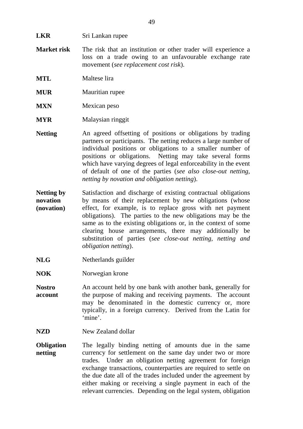- **Market risk** The risk that an institution or other trader will experience a loss on a trade owing to an unfavourable exchange rate movement (*see replacement cost risk*).
- **MTL** Maltese lira
- **MUR** Mauritian rupee
- **MXN** Mexican peso
- **MYR** Malaysian ringgit
- **Netting** An agreed offsetting of positions or obligations by trading partners or participants. The netting reduces a large number of individual positions or obligations to a smaller number of positions or obligations. Netting may take several forms which have varying degrees of legal enforceability in the event of default of one of the parties (*see also close-out netting, netting by novation and obligation netting*).
- **Netting by novation (novation)** Satisfaction and discharge of existing contractual obligations by means of their replacement by new obligations (whose effect, for example, is to replace gross with net payment obligations). The parties to the new obligations may be the same as to the existing obligations or, in the context of some clearing house arrangements, there may additionally be substitution of parties (*see close-out netting, netting and obligation netting*).
- NLG Netherlands guilder
- **NOK** Norwegian krone
- **Nostro account** An account held by one bank with another bank, generally for the purpose of making and receiving payments. The account may be denominated in the domestic currency or, more typically, in a foreign currency. Derived from the Latin for 'mine'.
- **NZD** New Zealand dollar
- **Obligation netting** The legally binding netting of amounts due in the same currency for settlement on the same day under two or more trades. Under an obligation netting agreement for foreign exchange transactions, counterparties are required to settle on the due date all of the trades included under the agreement by either making or receiving a single payment in each of the relevant currencies. Depending on the legal system, obligation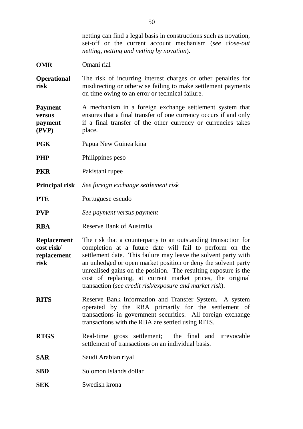|                                                         | netting can find a legal basis in constructions such as novation,<br>set-off or the current account mechanism (see close-out<br>netting, netting and netting by novation).                                                                                                                                                                                                                                                                              |
|---------------------------------------------------------|---------------------------------------------------------------------------------------------------------------------------------------------------------------------------------------------------------------------------------------------------------------------------------------------------------------------------------------------------------------------------------------------------------------------------------------------------------|
| <b>OMR</b>                                              | Omani rial                                                                                                                                                                                                                                                                                                                                                                                                                                              |
| <b>Operational</b><br>risk                              | The risk of incurring interest charges or other penalties for<br>misdirecting or otherwise failing to make settlement payments<br>on time owing to an error or technical failure.                                                                                                                                                                                                                                                                       |
| Payment<br>versus<br>payment<br>(PVP)                   | A mechanism in a foreign exchange settlement system that<br>ensures that a final transfer of one currency occurs if and only<br>if a final transfer of the other currency or currencies takes<br>place.                                                                                                                                                                                                                                                 |
| PGK                                                     | Papua New Guinea kina                                                                                                                                                                                                                                                                                                                                                                                                                                   |
| PHP                                                     | Philippines peso                                                                                                                                                                                                                                                                                                                                                                                                                                        |
| <b>PKR</b>                                              | Pakistani rupee                                                                                                                                                                                                                                                                                                                                                                                                                                         |
| Principal risk                                          | See foreign exchange settlement risk                                                                                                                                                                                                                                                                                                                                                                                                                    |
| PTE                                                     | Portuguese escudo                                                                                                                                                                                                                                                                                                                                                                                                                                       |
| <b>PVP</b>                                              | See payment versus payment                                                                                                                                                                                                                                                                                                                                                                                                                              |
| RBA                                                     | <b>Reserve Bank of Australia</b>                                                                                                                                                                                                                                                                                                                                                                                                                        |
| <b>Replacement</b><br>cost risk/<br>replacement<br>risk | The risk that a counterparty to an outstanding transaction for<br>completion at a future date will fail to perform on the<br>settlement date. This failure may leave the solvent party with<br>an unhedged or open market position or deny the solvent party<br>unrealised gains on the position. The resulting exposure is the<br>cost of replacing, at current market prices, the original<br>transaction (see credit risk/exposure and market risk). |
| <b>RITS</b>                                             | Reserve Bank Information and Transfer System. A system<br>operated by the RBA primarily for the settlement of<br>transactions in government securities. All foreign exchange<br>transactions with the RBA are settled using RITS.                                                                                                                                                                                                                       |
| <b>RTGS</b>                                             | Real-time gross settlement; the final and irrevocable<br>settlement of transactions on an individual basis.                                                                                                                                                                                                                                                                                                                                             |
| SAR                                                     | Saudi Arabian riyal                                                                                                                                                                                                                                                                                                                                                                                                                                     |
| SBD                                                     | Solomon Islands dollar                                                                                                                                                                                                                                                                                                                                                                                                                                  |
| SEK                                                     | Swedish krona                                                                                                                                                                                                                                                                                                                                                                                                                                           |